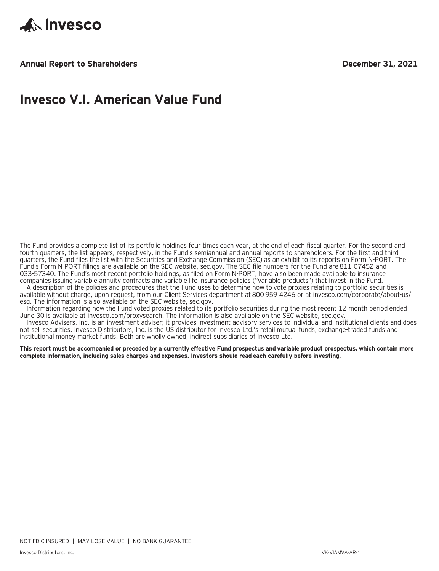

**Annual Report to Shareholders December 31, 2021**

### **Invesco V.I. American Value Fund**

The Fund provides a complete list of its portfolio holdings four times each year, at the end of each fiscal quarter. For the second and fourth quarters, the list appears, respectively, in the Fund's semiannual and annual reports to shareholders. For the first and third quarters, the Fund files the list with the Securities and Exchange Commission (SEC) as an exhibit to its reports on Form N-PORT. The Fund's Form N-PORT filings are available on the SEC website, sec.gov. The SEC file numbers for the Fund are 811-07452 and 033-57340. The Fund's most recent portfolio holdings, as filed on Form N-PORT, have also been made available to insurance companies issuing variable annuity contracts and variable life insurance policies ("variable products") that invest in the Fund.

A description of the policies and procedures that the Fund uses to determine how to vote proxies relating to portfolio securities is available without charge, upon request, from our Client Services department at 800 959 4246 or at invesco.com/corporate/about-us/ esg. The information is also available on the SEC website, sec.gov.

Information regarding how the Fund voted proxies related to its portfolio securities during the most recent 12-month period ended June 30 is available at invesco.com/proxysearch. The information is also available on the SEC website, sec.gov.

Invesco Advisers, Inc. is an investment adviser; it provides investment advisory services to individual and institutional clients and does not sell securities. Invesco Distributors, Inc. is the US distributor for Invesco Ltd.'s retail mutual funds, exchange-traded funds and institutional money market funds. Both are wholly owned, indirect subsidiaries of Invesco Ltd.

**This report must be accompanied or preceded by a currently effective Fund prospectus and variable product prospectus, which contain more complete information, including sales charges and expenses. Investors should read each carefully before investing.**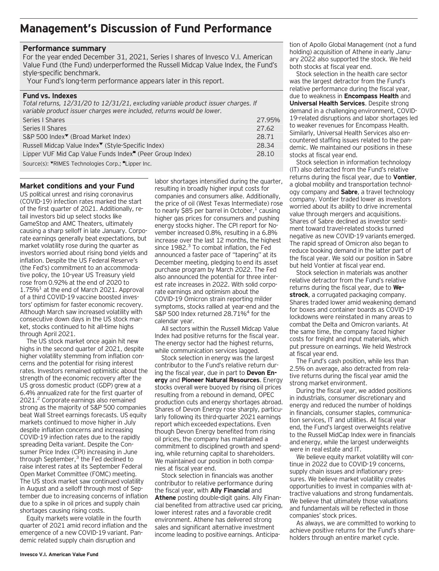### **Management's Discussion of Fund Performance**

#### **Performance summary**

For the year ended December 31, 2021, Series I shares of Invesco V.I. American Value Fund (the Fund) underperformed the Russell Midcap Value Index, the Fund's style-specific benchmark.

Your Fund's long-term performance appears later in this report.

#### **Fund vs. Indexes**

*Total returns, 12/31/20 to 12/31/21, excluding variable product issuer charges. If variable product issuer charges were included, returns would be lower.*

| Series   Shares                                                                                     | 27.95% |
|-----------------------------------------------------------------------------------------------------|--------|
| Series II Shares                                                                                    | 27.62  |
| S&P 500 Index <sup>▼</sup> (Broad Market Index)                                                     | 28.71  |
| Russell Midcap Value Index <sup>▼</sup> (Style-Specific Index)                                      | 28.34  |
| Lipper VUF Mid Cap Value Funds Index <sup>"</sup> (Peer Group Index)                                | 28.10  |
| $C_{\text{c},\text{unre}}(x)$ , WDIMFC Taglands als also $C_{\text{c},\text{unre}}$ if line and law |        |

Source(s): VRIMES Technologies Corp.; "Lipper Inc.

#### **Market conditions and your Fund**

US political unrest and rising coronavirus (COVID-19) infection rates marked the start of the first quarter of 2021. Additionally, retail investors bid up select stocks like GameStop and AMC Theaters, ultimately causing a sharp selloff in late January. Corporate earnings generally beat expectations, but market volatility rose during the quarter as investors worried about rising bond yields and inflation. Despite the US Federal Reserve's (the Fed's) commitment to an accommodative policy, the 10-year US Treasury yield rose from 0.92% at the end of 2020 to  $1.75\%$ <sup>1</sup> at the end of March 2021. Approval of a third COVID-19 vaccine boosted investors' optimism for faster economic recovery. Although March saw increased volatility with consecutive down days in the US stock market, stocks continued to hit all-time highs through April 2021.

The US stock market once again hit new highs in the second quarter of 2021, despite higher volatility stemming from inflation concerns and the potential for rising interest rates. Investors remained optimistic about the strength of the economic recovery after the US gross domestic product (GDP) grew at a 6.4% annualized rate for the first quarter of 2021.2 Corporate earnings also remained strong as the majority of S&P 500 companies beat Wall Street earnings forecasts. US equity markets continued to move higher in July despite inflation concerns and increasing COVID-19 infection rates due to the rapidly spreading Delta variant. Despite the Consumer Price Index (CPI) increasing in June through September,<sup>3</sup> the Fed declined to raise interest rates at its September Federal Open Market Committee (FOMC) meeting. The US stock market saw continued volatility in August and a selloff through most of September due to increasing concerns of inflation due to a spike in oil prices and supply chain shortages causing rising costs.

Equity markets were volatile in the fourth quarter of 2021 amid record inflation and the emergence of a new COVID-19 variant. Pandemic related supply chain disruption and

labor shortages intensified during the quarter, resulting in broadly higher input costs for companies and consumers alike. Additionally, the price of oil (West Texas Intermediate) rose to nearly \$85 per barrel in October, $<sup>1</sup>$  causing</sup> higher gas prices for consumers and pushing energy stocks higher. The CPI report for November increased 0.8%, resulting in a 6.8% increase over the last 12 months, the highest since  $1982<sup>3</sup>$  To combat inflation, the Fed announced a faster pace of "tapering" at its December meeting, pledging to end its asset purchase program by March 2022. The Fed also announced the potential for three interest rate increases in 2022. With solid corporate earnings and optimism about the COVID-19 Omicron strain reporting milder symptoms, stocks rallied at year-end and the S&P 500 Index returned 28.71%<sup>4</sup> for the calendar year.

All sectors within the Russell Midcap Value Index had positive returns for the fiscal year. The energy sector had the highest returns, while communication services lagged.

Stock selection in energy was the largest contributor to the Fund's relative return during the fiscal year, due in part to **Devon Energy** and **Pioneer Natural Resources**. Energy stocks overall were buoyed by rising oil prices resulting from a rebound in demand, OPEC production cuts and energy shortages abroad. Shares of Devon Energy rose sharply, particularly following its third-quarter 2021 earnings report which exceeded expectations. Even though Devon Energy benefited from rising oil prices, the company has maintained a commitment to disciplined growth and spending, while returning capital to shareholders. We maintained our position in both companies at fiscal year end.

Stock selection in financials was another contributor to relative performance during the fiscal year, with **Ally Financial** and **Athene** posting double-digit gains. Ally Financial benefited from attractive used car pricing, lower interest rates and a favorable credit environment. Athene has delivered strong sales and significant alternative investment income leading to positive earnings. Anticipation of Apollo Global Management (not a fund holding) acquisition of Athene in early January 2022 also supported the stock. We held both stocks at fiscal year end.

Stock selection in the health care sector was the largest detractor from the Fund's relative performance during the fiscal year, due to weakness in **Encompass Health** and **Universal Health Services**. Despite strong demand in a challenging environment, COVID-19-related disruptions and labor shortages led to weaker revenues for Encompass Health. Similarly, Universal Health Services also encountered staffing issues related to the pandemic. We maintained our positions in these stocks at fiscal year end.

Stock selection in information technology (IT) also detracted from the Fund's relative returns during the fiscal year, due to **Vontier**, a global mobility and transportation technology company and **Sabre**, a travel technology company. Vontier traded lower as investors worried about its ability to drive incremental value through mergers and acquisitions. Shares of Sabre declined as investor sentiment toward travel-related stocks turned negative as new COVID-19 variants emerged. The rapid spread of Omicron also began to reduce booking demand in the latter part of the fiscal year. We sold our position in Sabre but held Vontier at fiscal year end.

Stock selection in materials was another relative detractor from the Fund's relative returns during the fiscal year, due to **Westrock**, a corrugated packaging company. Shares traded lower amid weakening demand for boxes and container boards as COVID-19 lockdowns were reinstated in many areas to combat the Delta and Omicron variants. At the same time, the company faced higher costs for freight and input materials, which put pressure on earnings. We held Westrock at fiscal year end.

The Fund's cash position, while less than 2.5% on average, also detracted from relative returns during the fiscal year amid the strong market environment.

During the fiscal year, we added positions in industrials, consumer discretionary and energy and reduced the number of holdings in financials, consumer staples, communication services, IT and utilities. At fiscal year end, the Fund's largest overweights relative to the Russell MidCap Index were in financials and energy, while the largest underweights were in real estate and IT.

We believe equity market volatility will continue in 2022 due to COVID-19 concerns, supply chain issues and inflationary pressures. We believe market volatility creates opportunities to invest in companies with attractive valuations and strong fundamentals. We believe that ultimately those valuations and fundamentals will be reflected in those companies' stock prices.

As always, we are committed to working to achieve positive returns for the Fund's shareholders through an entire market cycle.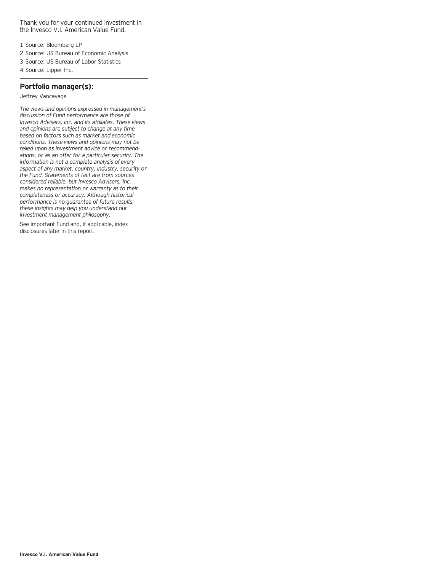Thank you for your continued investment in the Invesco V.I. American Value Fund.

- 1 Source: Bloomberg LP
- 2 Source: US Bureau of Economic Analysis
- 3 Source: US Bureau of Labor Statistics
- 4 Source: Lipper Inc.

#### **Portfolio manager(s)**:

Jeffrey Vancavage

*The views and opinions expressed in management's discussion of Fund performance are those of Invesco Advisers, Inc. and its affiliates. These views and opinions are subject to change at any time based on factors such as market and economic conditions. These views and opinions may not be relied upon as investment advice or recommendations, or as an offer for a particular security. The information is not a complete analysis of every aspect of any market, country, industry, security or the Fund. Statements of fact are from sources considered reliable, but Invesco Advisers, Inc. makes no representation or warranty as to their completeness or accuracy. Although historical performance is no guarantee of future results, these insights may help you understand our investment management philosophy.*

See important Fund and, if applicable, index disclosures later in this report.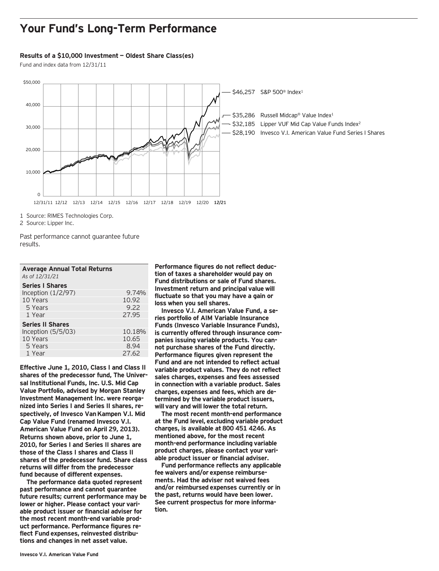### **Your Fund's Long-Term Performance**

#### **Results of a \$10,000 Investment — Oldest Share Class(es)**

Fund and index data from 12/31/11



1 Source: RIMES Technologies Corp.

2 Source: Lipper Inc.

Past performance cannot guarantee future results.

| <b>Average Annual Total Returns</b> |       |
|-------------------------------------|-------|
| As of 12/31/21                      |       |
| <b>Series I Shares</b>              |       |
| Inception $(1/2/97)$                | 9.74% |
| 10 Years                            | 10.92 |
| 5 Years                             | 9.22  |
| 1 Year                              | 27.95 |
|                                     |       |

| <b>Series II Shares</b> |        |
|-------------------------|--------|
| Inception $(5/5/03)$    | 10.18% |
| 10 Years                | 10.65  |
| 5 Years                 | 8.94   |
| 1 Year                  | 27.62  |

**Effective June 1, 2010, Class I and Class II shares of the predecessor fund, The Universal Institutional Funds, Inc. U.S. Mid Cap Value Portfolio, advised by Morgan Stanley Investment Management Inc. were reorganized into Series I and Series II shares, respectively, of Invesco Van Kampen V.I. Mid Cap Value Fund (renamed Invesco V.I. American Value Fund on April 29, 2013). Returns shown above, prior to June 1, 2010, for Series I and Series II shares are those of the Class I shares and Class II shares of the predecessor fund. Share class returns will differ from the predecessor fund because of different expenses.**

**The performance data quoted represent past performance and cannot guarantee future results; current performance may be lower or higher. Please contact your variable product issuer or financial adviser for the most recent month-end variable product performance. Performance figures reflect Fund expenses, reinvested distributions and changes in net asset value.**

**Performance figures do not reflect deduction of taxes a shareholder would pay on Fund distributions or sale of Fund shares. Investment return and principal value will fluctuate so that you may have a gain or loss when you sell shares.**

**Invesco V.I. American Value Fund, a series portfolio of AIM Variable Insurance Funds (Invesco Variable Insurance Funds), is currently offered through insurance companies issuing variable products. You cannot purchase shares of the Fund directly. Performance figures given represent the Fund and are not intended to reflect actual variable product values. They do not reflect sales charges, expenses and fees assessed in connection with a variable product. Sales charges, expenses and fees, which are determined by the variable product issuers, will vary and will lower the total return.**

**The most recent month-end performance at the Fund level, excluding variable product charges, is available at 800 451 4246. As mentioned above, for the most recent month-end performance including variable product charges, please contact your variable product issuer or financial adviser.**

**Fund performance reflects any applicable fee waivers and/or expense reimbursements. Had the adviser not waived fees and/or reimbursed expenses currently or in the past, returns would have been lower. See current prospectus for more information.**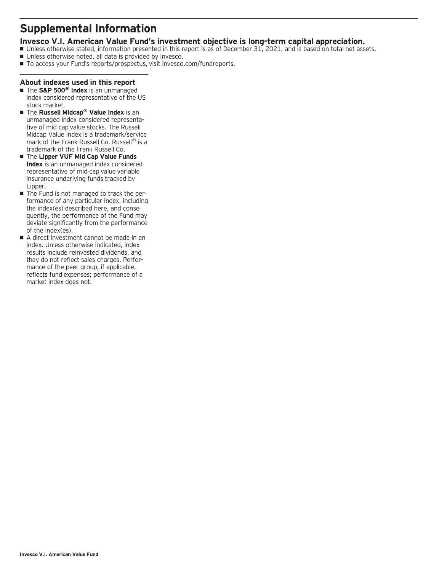### **Supplemental Information**

### **Invesco V.I. American Value Fund's investment objective is long-term capital appreciation.**

- Unless otherwise stated, information presented in this report is as of December 31, 2021, and is based on total net assets.
- Unless otherwise noted, all data is provided by Invesco.
- To access your Fund's reports/prospectus, visit invesco.com/fundreports.

#### **About indexes used in this report**

- The S&P 500<sup>®</sup> Index is an unmanaged index considered representative of the US stock market.
- The **Russell Midcap<sup>®</sup> Value Index** is an unmanaged index considered representative of mid-cap value stocks. The Russell Midcap Value Index is a trademark/service mark of the Frank Russell Co. Russell<sup>®</sup> is a trademark of the Frank Russell Co.
- **The Lipper VUF Mid Cap Value Funds Index** is an unmanaged index considered representative of mid-cap value variable insurance underlying funds tracked by Lipper.
- The Fund is not managed to track the performance of any particular index, including the index(es) described here, and consequently, the performance of the Fund may deviate significantly from the performance of the index(es).
- A direct investment cannot be made in an index. Unless otherwise indicated, index results include reinvested dividends, and they do not reflect sales charges. Performance of the peer group, if applicable, reflects fund expenses; performance of a market index does not.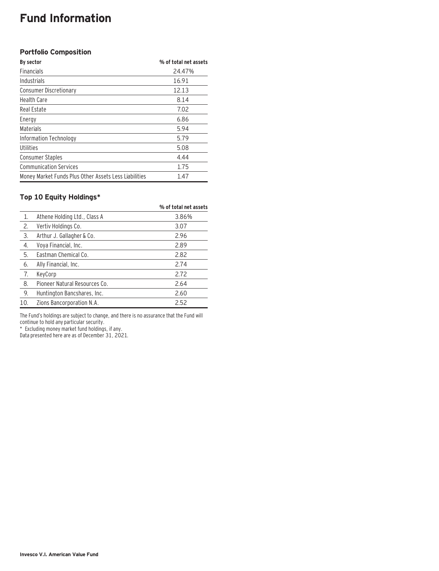### **Fund Information**

#### **Portfolio Composition**

| By sector                                             | % of total net assets |
|-------------------------------------------------------|-----------------------|
| <b>Financials</b>                                     | 24.47%                |
| Industrials                                           | 16.91                 |
| Consumer Discretionary                                | 12.13                 |
| <b>Health Care</b>                                    | 8.14                  |
| Real Estate                                           | 7.02                  |
| Energy                                                | 6.86                  |
| Materials                                             | 5.94                  |
| Information Technology                                | 5.79                  |
| Utilities                                             | 5.08                  |
| <b>Consumer Staples</b>                               | 4.44                  |
| <b>Communication Services</b>                         | 1.75                  |
| Money Market Funds Plus Other Assets Less Liabilities | 1.47                  |

### **Top 10 Equity Holdings\***

|     |                               | % of total net assets |
|-----|-------------------------------|-----------------------|
| 1.  | Athene Holding Ltd., Class A  | 3.86%                 |
| 2.  | Vertiv Holdings Co.           | 3.07                  |
| 3.  | Arthur J. Gallagher & Co.     | 2.96                  |
| 4.  | Voya Financial, Inc.          | 2.89                  |
| 5.  | Eastman Chemical Co.          | 2.82                  |
| 6.  | Ally Financial, Inc.          | 2.74                  |
| 7.  | KeyCorp                       | 2.72                  |
| 8.  | Pioneer Natural Resources Co. | 2.64                  |
| 9.  | Huntington Bancshares, Inc.   | 2.60                  |
| 10. | Zions Bancorporation N.A.     | 2.52                  |

The Fund's holdings are subject to change, and there is no assurance that the Fund will continue to hold any particular security.

\* Excluding money market fund holdings, if any.

Data presented here are as of December 31, 2021.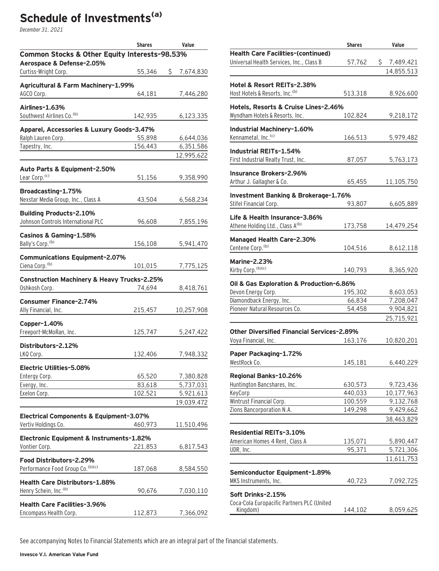# **Schedule of Investments(a)**

December 31, 2021

|                                                          | <b>Shares</b> | Value           |
|----------------------------------------------------------|---------------|-----------------|
| Common Stocks & Other Equity Interests-98.53%            |               |                 |
| Aerospace & Defense-2.05%                                |               |                 |
| Curtiss-Wright Corp.                                     | 55,346        | \$<br>7,674,830 |
| Agricultural & Farm Machinery-1.99%                      |               |                 |
| AGCO Corp.                                               | 64,181        | 7,446,280       |
| Airlines-1.63%                                           |               |                 |
| Southwest Airlines Co. <sup>(b)</sup>                    | 142,935       | 6,123,335       |
| Apparel, Accessories & Luxury Goods-3.47%                |               |                 |
| Ralph Lauren Corp.                                       | 55,898        | 6,644,036       |
| Tapestry, Inc.                                           | 156,443       | 6,351,586       |
|                                                          |               | 12,995,622      |
| Auto Parts & Equipment-2.50%                             |               |                 |
| Lear Corp. <sup>(c)</sup>                                | 51,156        | 9,358,990       |
|                                                          |               |                 |
| Broadcasting-1.75%<br>Nexstar Media Group, Inc., Class A | 43,504        | 6,568,234       |
|                                                          |               |                 |
| <b>Building Products-2.10%</b>                           |               |                 |
| Johnson Controls International PLC                       | 96,608        | 7,855,196       |
| Casinos & Gaming-1.58%                                   |               |                 |
| Bally's Corp. <sup>(b)</sup>                             | 156,108       | 5,941,470       |
| <b>Communications Equipment-2.07%</b>                    |               |                 |
| Ciena Corp. <sup>(b)</sup>                               | 101,015       | 7,775,125       |
| <b>Construction Machinery &amp; Heavy Trucks-2.25%</b>   |               |                 |
| Oshkosh Corp.                                            | 74,694        | 8,418,761       |
|                                                          |               |                 |
| <b>Consumer Finance-2.74%</b><br>Ally Financial, Inc.    | 215,457       | 10,257,908      |
|                                                          |               |                 |
| Copper-1.40%                                             |               |                 |
| Freeport-McMoRan, Inc.                                   | 125,747       | 5,247,422       |
| Distributors-2.12%                                       |               |                 |
| LKQ Corp.                                                | 132,406       | 7,948,332       |
| Electric Utilities-5.08%                                 |               |                 |
| Entergy Corp.                                            | 65,520        | 7,380,828       |
| Evergy, Inc.                                             | 83,618        | 5,737,031       |
| Exelon Corp.                                             | 102,521       | 5,921,613       |
|                                                          |               | 19,039,472      |
| Electrical Components & Equipment-3.07%                  |               |                 |
| Vertiv Holdings Co.                                      | 460,973       | 11,510,496      |
| Electronic Equipment & Instruments-1.82%                 |               |                 |
| Vontier Corp.                                            | 221,853       | 6,817,543       |
| Food Distributors-2.29%                                  |               |                 |
| Performance Food Group Co. (b)(c)                        | 187,068       | 8,584,550       |
| <b>Health Care Distributors-1.88%</b>                    |               |                 |
| Henry Schein, Inc. <sup>(b)</sup>                        | 90,676        | 7,030,110       |
|                                                          |               |                 |
| <b>Health Care Facilities-3.96%</b>                      |               |                 |
| Encompass Health Corp.                                   | 112,873       | 7,366,092       |

|                                                                        | <b>Shares</b>      | Value                   |
|------------------------------------------------------------------------|--------------------|-------------------------|
| <b>Health Care Facilities-(continued)</b>                              |                    |                         |
| Universal Health Services, Inc., Class B                               | 57,762             | \$.<br>7,489,421        |
|                                                                        |                    | 14,855,513              |
| Hotel & Resort REITs-2.38%                                             |                    |                         |
| Host Hotels & Resorts, Inc. (b)                                        | 513,318            | 8,926,600               |
|                                                                        |                    |                         |
| Hotels, Resorts & Cruise Lines-2.46%<br>Wyndham Hotels & Resorts, Inc. | 102,824            |                         |
|                                                                        |                    | 9,218,172               |
| Industrial Machinery-1.60%                                             |                    |                         |
| Kennametal, Inc. <sup>(c)</sup>                                        | 166,513            | 5,979,482               |
| Industrial REITs-1.54%                                                 |                    |                         |
| First Industrial Realty Trust, Inc.                                    | 87,057             | 5,763,173               |
|                                                                        |                    |                         |
| <b>Insurance Brokers-2.96%</b><br>Arthur J. Gallagher & Co.            | 65,455             | 11,105,750              |
|                                                                        |                    |                         |
| Investment Banking & Brokerage-1.76%                                   |                    |                         |
| Stifel Financial Corp.                                                 | 93,807             | 6,605,889               |
| Life & Health Insurance-3.86%                                          |                    |                         |
| Athene Holding Ltd., Class A(b)                                        | 173,758            | 14,479,254              |
| <b>Managed Health Care-2.30%</b>                                       |                    |                         |
| Centene Corp. <sup>(b)</sup>                                           | 104,516            | 8,612,118               |
|                                                                        |                    |                         |
| <b>Marine-2.23%</b>                                                    |                    |                         |
| Kirby Corp. (b)(c)                                                     | 140,793            | 8,365,920               |
| Oil & Gas Exploration & Production-6.86%                               |                    |                         |
| Devon Energy Corp.                                                     | 195,302            | 8,603,053               |
| Diamondback Energy, Inc.                                               | 66,834             | 7,208,047               |
| Pioneer Natural Resources Co.                                          | 54,458             | 9,904,821               |
|                                                                        |                    | 25,715,921              |
| <b>Other Diversified Financial Services-2.89%</b>                      |                    |                         |
| Voya Financial, Inc.                                                   | 163,176            | 10,820,201              |
| Paper Packaging-1.72%                                                  |                    |                         |
| WestRock Co.                                                           | 145,181            | 6,440,229               |
|                                                                        |                    |                         |
| Regional Banks-10.26%<br>Huntington Bancshares, Inc.                   |                    |                         |
| KeyCorp                                                                | 630,573<br>440,033 | 9,723,436<br>10,177,963 |
| Wintrust Financial Corp.                                               | 100,559            | 9,132,768               |
| Zions Bancorporation N.A.                                              | 149,298            | 9,429,662               |
|                                                                        |                    | 38,463,829              |
|                                                                        |                    |                         |
| <b>Residential REITs-3.10%</b>                                         |                    |                         |
| American Homes 4 Rent, Class A<br>UDR, Inc.                            | 135,071<br>95,371  | 5,890,447<br>5,721,306  |
|                                                                        |                    | 11,611,753              |
|                                                                        |                    |                         |
| Semiconductor Equipment-1.89%                                          |                    |                         |
| MKS Instruments, Inc.                                                  | 40,723             | 7,092,725               |
| Soft Drinks-2.15%                                                      |                    |                         |
| Coca-Cola Europacific Partners PLC (United                             |                    |                         |
| Kingdom)                                                               | 144,102            | 8,059,625               |

See accompanying Notes to Financial Statements which are an integral part of the financial statements.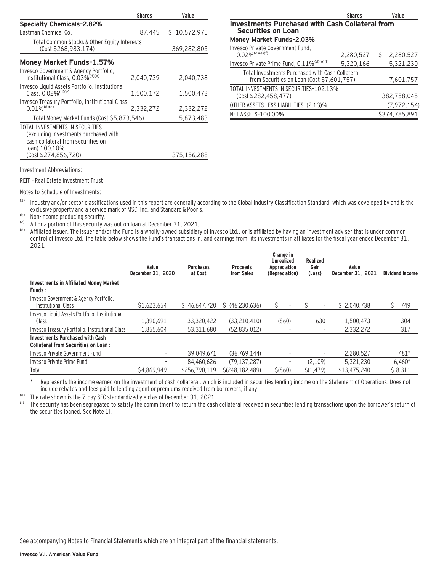|                                                                                                                                 | <b>Shares</b> | Value        |
|---------------------------------------------------------------------------------------------------------------------------------|---------------|--------------|
| <b>Specialty Chemicals-2.82%</b>                                                                                                |               |              |
| Eastman Chemical Co.                                                                                                            | 87.445        | \$10,572,975 |
| Total Common Stocks & Other Equity Interests<br>(Cost \$268,983,174)                                                            |               | 369,282,805  |
| Money Market Funds-1.57%                                                                                                        |               |              |
| Invesco Government & Agency Portfolio,<br>Institutional Class, 0.03% <sup>(d)(e)</sup>                                          | 2,040,739     | 2.040.738    |
| Invesco Liquid Assets Portfolio, Institutional<br>Class, 0.02% <sup>(d)(e)</sup>                                                | 1,500,172     | 1,500,473    |
| Invesco Treasury Portfolio, Institutional Class,<br>$0.01\%$ <sup>(d)(e)</sup>                                                  | 2.332.272     | 2,332,272    |
| Total Money Market Funds (Cost \$5,873,546)                                                                                     |               | 5,873,483    |
| TOTAL INVESTMENTS IN SECURITIES<br>(excluding investments purchased with<br>cash collateral from securities on<br>loan)-100.10% |               |              |
| (Cost \$274,856,720)                                                                                                            |               | 375.156.288  |

|                                                                                                | <b>Shares</b> |   | Value         |  |
|------------------------------------------------------------------------------------------------|---------------|---|---------------|--|
| <b>Investments Purchased with Cash Collateral from</b><br><b>Securities on Loan</b>            |               |   |               |  |
| <b>Money Market Funds-2.03%</b>                                                                |               |   |               |  |
| Invesco Private Government Fund,<br>$0.02\%$ <sup>(d)(e)(f)</sup>                              | 2,280,527     | S | 2,280,527     |  |
| Invesco Private Prime Fund, 0.11% <sup>(d)(e)(f)</sup>                                         | 5,320,166     |   | 5,321,230     |  |
| Total Investments Purchased with Cash Collateral<br>from Securities on Loan (Cost \$7,601,757) |               |   | 7,601,757     |  |
| TOTAL INVESTMENTS IN SECURITIES-102.13%<br>(Cost \$282,458,477)                                |               |   | 382,758,045   |  |
| OTHER ASSETS LESS LIABILITIES-(2.13)%                                                          |               |   | (7, 972, 154) |  |
| NET ASSETS-100.00%                                                                             |               |   | \$374,785.891 |  |

Investment Abbreviations:

REIT – Real Estate Investment Trust

Notes to Schedule of Investments:

(a) Industry and/or sector classifications used in this report are generally according to the Global Industry Classification Standard, which was developed by and is the exclusive property and a service mark of MSCI Inc. and Standard & Poor's.

(b) Non-income producing security.

<sup>(c)</sup> All or a portion of this security was out on loan at December 31, 2021.<br>(d) Affiliated issuer. The issuer and/or the Fund is a wholly-owned subsidiary

Affiliated issuer. The issuer and/or the Fund is a wholly-owned subsidiary of Invesco Ltd., or is affiliated by having an investment adviser that is under common control of Invesco Ltd. The table below shows the Fund's transactions in, and earnings from, its investments in affiliates for the fiscal year ended December 31, 2021.

|                                                                                      | Value<br>December 31, 2020 | <b>Purchases</b><br>at Cost | <b>Proceeds</b><br>from Sales | Change in<br><b>Unrealized</b><br>Appreciation<br>(Depreciation) | Realized<br>Gain<br>(Loss) | Value<br>December 31, 2021 | <b>Dividend Income</b> |
|--------------------------------------------------------------------------------------|----------------------------|-----------------------------|-------------------------------|------------------------------------------------------------------|----------------------------|----------------------------|------------------------|
| Investments in Affiliated Money Market<br><b>Funds:</b>                              |                            |                             |                               |                                                                  |                            |                            |                        |
| Invesco Government & Agency Portfolio,<br>Institutional Class                        | \$1,623,654                | \$46.647.720                | \$ (46.230.636)               | Ŝ<br>$\overline{\phantom{a}}$                                    |                            | \$2.040.738                | Ś.<br>749              |
| Invesco Liquid Assets Portfolio, Institutional<br>Class                              | 1.390.691                  | 33.320.422                  | (33.210.410)                  | (860)                                                            | 630                        | 1.500.473                  | 304                    |
| Invesco Treasury Portfolio, Institutional Class                                      | 1.855.604                  | 53,311,680                  | (52, 835, 012)                |                                                                  |                            | 2.332.272                  | 317                    |
| <b>Investments Purchased with Cash</b><br><b>Collateral from Securities on Loan:</b> |                            |                             |                               |                                                                  |                            |                            |                        |
| Invesco Private Government Fund                                                      | ٠                          | 39.049.671                  | (36.769.144)                  |                                                                  |                            | 2,280,527                  | 481*                   |
| Invesco Private Prime Fund                                                           | ٠                          | 84.460.626                  | (79.137.287)                  | ٠                                                                | (2.109)                    | 5.321.230                  | $6.460*$               |
| Total                                                                                | \$4,869,949                | \$256,790,119               | \$(248, 182, 489)             | $$^{(860)}$                                                      | \$(1, 479)                 | \$13,475,240               | \$8,311                |

\* Represents the income earned on the investment of cash collateral, which is included in securities lending income on the Statement of Operations. Does not include rebates and fees paid to lending agent or premiums received from borrowers, if any.

(e) The rate shown is the 7-day SEC standardized yield as of December 31, 2021.

The security has been segregated to satisfy the commitment to return the cash collateral received in securities lending transactions upon the borrower's return of the securities loaned. See Note 1I.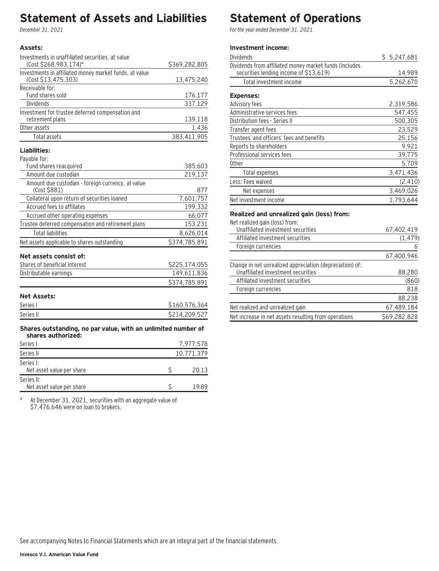### **Statement of Assets and Liabilities**

December 31, 2021

#### **Assets:**

| Investments in unaffiliated securities, at value              |               |     |
|---------------------------------------------------------------|---------------|-----|
| (Cost \$268,983,174)*                                         | \$369,282,805 |     |
| Investments in affiliated money market funds, at value        |               |     |
| (Cost \$13,475,303)                                           | 13,475,240    |     |
| Receivable for:                                               |               |     |
| Fund shares sold                                              | 176,177       |     |
| <b>Dividends</b>                                              | 337,129       |     |
| Investment for trustee deferred compensation and              |               |     |
| retirement plans                                              | 139,118       |     |
| Other assets                                                  | 1,436         |     |
| <b>Total assets</b>                                           | 383,411,905   |     |
| Liabilities:                                                  |               |     |
| Payable for:                                                  |               |     |
| Fund shares reacquired                                        | 385,603       |     |
| Amount due custodian                                          | 219,137       |     |
| Amount due custodian - foreign currency, at value             |               |     |
| (Cost \$881)                                                  |               | 877 |
| Collateral upon return of securities loaned                   | 7,601,757     |     |
| Accrued fees to affiliates                                    | 199,332       |     |
| Accrued other operating expenses                              | 66,077        |     |
| Trustee deferred compensation and retirement plans            | 153,231       |     |
| <b>Total liabilities</b>                                      | 8,626,014     |     |
| Net assets applicable to shares outstanding                   | \$374,785,891 |     |
| Net assets consist of:                                        |               |     |
| Shares of beneficial interest                                 | \$225,174,055 |     |
| Distributable earnings                                        | 149,611,836   |     |
|                                                               | \$374,785,891 |     |
|                                                               |               |     |
| <b>Net Assets:</b>                                            |               |     |
| Series I                                                      | \$160,576,364 |     |
| Series II                                                     | \$214,209,527 |     |
| Shares outstanding, no par value, with an unlimited number of |               |     |
| shares authorized:                                            |               |     |
| Series I                                                      | 7,977,578     |     |
| Series II                                                     | 10,771,379    |     |
| Series I:                                                     |               |     |
| Net asset value per share                                     | \$<br>20.13   |     |

\* At December 31, 2021, securities with an aggregate value of \$7,476,646 were on loan to brokers.

Net asset value per share \$ 5 19.89

# **Statement of Operations**

For the year ended December 31, 2021

## **Investment income:**

| Dividends                                                                                        | \$5,247,681 |
|--------------------------------------------------------------------------------------------------|-------------|
| Dividends from affiliated money market funds (includes<br>securities lending income of \$13,619) | 14,989      |
| Total investment income                                                                          | 5,262,670   |
| <b>Expenses:</b>                                                                                 |             |
| Advisory fees                                                                                    | 2,319,586   |
| Administrative services fees                                                                     | 547,455     |
| Distribution fees - Series II                                                                    | 500,305     |
| Transfer agent fees                                                                              | 23,529      |
| Trustees' and officers' fees and benefits                                                        | 25,156      |
| Reports to shareholders                                                                          | 9,921       |
| Professional services fees                                                                       | 39,775      |
| Other                                                                                            | 5,709       |
| Total expenses                                                                                   | 3,471,436   |
| Less: Fees waived                                                                                | (2, 410)    |
| Net expenses                                                                                     | 3,469,026   |
| Net investment income                                                                            | 1,793,644   |
| Realized and unrealized gain (loss) from:                                                        |             |
| Net realized gain (loss) from:                                                                   |             |
| Unaffiliated investment securities                                                               | 67,402,419  |

| Unanidated investment securities                         | 01.402.419   |
|----------------------------------------------------------|--------------|
| Affiliated investment securities                         | (1, 479)     |
| Foreign currencies                                       | 6            |
|                                                          | 67,400,946   |
| Change in net unrealized appreciation (depreciation) of: |              |
| Unaffiliated investment securities                       | 88,280       |
| Affiliated investment securities                         | (860)        |
| Foreign currencies                                       | 818          |
|                                                          | 88,238       |
| Net realized and unrealized gain                         | 67,489,184   |
| Net increase in net assets resulting from operations     | \$69,282,828 |

Series II: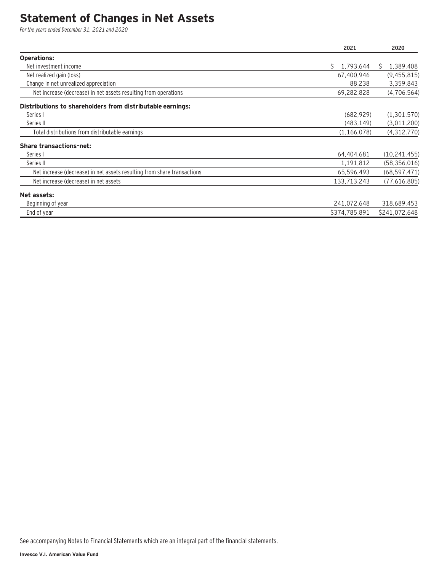### **Statement of Changes in Net Assets**

For the years ended December 31, 2021 and 2020

|                                                                         | 2021            | 2020           |
|-------------------------------------------------------------------------|-----------------|----------------|
| <b>Operations:</b>                                                      |                 |                |
| Net investment income                                                   | 1,793,644<br>S. | 1,389,408<br>S |
| Net realized gain (loss)                                                | 67,400,946      | (9, 455, 815)  |
| Change in net unrealized appreciation                                   | 88,238          | 3,359,843      |
| Net increase (decrease) in net assets resulting from operations         | 69,282,828      | (4,706,564)    |
| Distributions to shareholders from distributable earnings:              |                 |                |
| Series I                                                                | (682, 929)      | (1,301,570)    |
| Series II                                                               | (483, 149)      | (3,011,200)    |
| Total distributions from distributable earnings                         | (1, 166, 078)   | (4,312,770)    |
| <b>Share transactions-net:</b>                                          |                 |                |
| Series I                                                                | 64,404,681      | (10, 241, 455) |
| Series II                                                               | 1,191,812       | (58, 356, 016) |
| Net increase (decrease) in net assets resulting from share transactions | 65,596,493      | (68, 597, 471) |
| Net increase (decrease) in net assets                                   | 133,713,243     | (77,616,805)   |
| Net assets:                                                             |                 |                |
| Beginning of year                                                       | 241,072,648     | 318,689,453    |
| End of year                                                             | \$374,785,891   | \$241,072,648  |

See accompanying Notes to Financial Statements which are an integral part of the financial statements.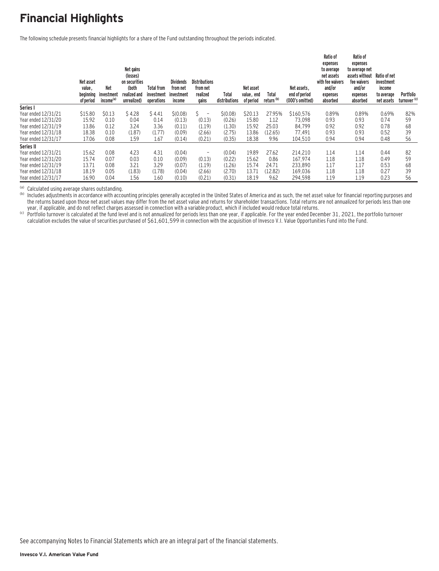# **Financial Highlights**

The following schedule presents financial highlights for a share of the Fund outstanding throughout the periods indicated.

|                     | Net asset<br>value,<br>beginning<br>of period | <b>Net</b><br>investment<br>income <sup>(a)</sup> | Net gains<br>(losses)<br>on securities<br>(both<br>realized and<br>unrealized) | <b>Total from</b><br>investment<br>operations | <b>Dividends</b><br>from net<br>investment<br>income | <b>Distributions</b><br>from net<br>realized<br>gains | Total<br>distributions | Net asset<br>value, end<br>of period | Total<br>return <sup>(b)</sup> | Net assets.<br>end of period<br>(000's omitted) | Ratio of<br>expenses<br>to average<br>net assets<br>with fee waivers<br>and/or<br>expenses<br>absorbed | Ratio of<br>expenses<br>to average net<br>assets without<br>fee waivers<br>and/or<br>expenses<br>absorbed | Ratio of net<br>investment<br>income<br>to average<br>net assets | Portfolio<br>turnover <sup>(c)</sup> |
|---------------------|-----------------------------------------------|---------------------------------------------------|--------------------------------------------------------------------------------|-----------------------------------------------|------------------------------------------------------|-------------------------------------------------------|------------------------|--------------------------------------|--------------------------------|-------------------------------------------------|--------------------------------------------------------------------------------------------------------|-----------------------------------------------------------------------------------------------------------|------------------------------------------------------------------|--------------------------------------|
| Series I            |                                               |                                                   |                                                                                |                                               |                                                      |                                                       |                        |                                      |                                |                                                 |                                                                                                        |                                                                                                           |                                                                  |                                      |
| Year ended 12/31/21 | \$15.80                                       | \$0.13                                            | \$4.28                                                                         | \$4.41                                        | \$(0.08)                                             | Ŝ.<br>$\overline{a}$                                  | \$(0.08)               | \$20.13                              | 27.95%                         | \$160,576                                       | 0.89%                                                                                                  | 0.89%                                                                                                     | 0.69%                                                            | 82%                                  |
| Year ended 12/31/20 | 15.92                                         | 0.10                                              | 0.04                                                                           | 0.14                                          | (0.13)                                               | (0.13)                                                | (0.26)                 | 15.80                                | 1.12                           | 73.098                                          | 0.93                                                                                                   | 0.93                                                                                                      | 0.74                                                             | 59                                   |
| Year ended 12/31/19 | 13.86                                         | 0.12                                              | 3.24                                                                           | 3.36                                          | (0.11)                                               | (1.19)                                                | (1.30)                 | 15.92                                | 25.03                          | 84,799                                          | 0.92                                                                                                   | 0.92                                                                                                      | 0.78                                                             | 68                                   |
| Year ended 12/31/18 | 18.38                                         | 0.10                                              | (1.87)                                                                         | (1.77)                                        | (0.09)                                               | (2.66)                                                | (2.75)                 | 13.86                                | (12.65)                        | 77,491                                          | 0.93                                                                                                   | 0.93                                                                                                      | 0.52                                                             | 39                                   |
| Year ended 12/31/17 | 17.06                                         | 0.08                                              | 1.59                                                                           | 1.67                                          | (0.14)                                               | (0.21)                                                | (0.35)                 | 18.38                                | 9.96                           | 104,510                                         | 0.94                                                                                                   | 0.94                                                                                                      | 0.48                                                             | 56                                   |
| Series II           |                                               |                                                   |                                                                                |                                               |                                                      |                                                       |                        |                                      |                                |                                                 |                                                                                                        |                                                                                                           |                                                                  |                                      |
| Year ended 12/31/21 | 15.62                                         | 0.08                                              | 4.23                                                                           | 4.31                                          | (0.04)                                               | $\qquad \qquad$                                       | (0.04)                 | 19.89                                | 27.62                          | 214.210                                         | 1.14                                                                                                   | 1.14                                                                                                      | 0.44                                                             | 82                                   |
| Year ended 12/31/20 | 15.74                                         | 0.07                                              | 0.03                                                                           | 0.10                                          | (0.09)                                               | (0.13)                                                | (0.22)                 | 15.62                                | 0.86                           | 167.974                                         | 1.18                                                                                                   | 1.18                                                                                                      | 0.49                                                             | 59                                   |
| Year ended 12/31/19 | 13.71                                         | 0.08                                              | 3.21                                                                           | 3.29                                          | (0.07)                                               | (1.19)                                                | (1.26)                 | 15.74                                | 24.71                          | 233,890                                         | 1.17                                                                                                   | 1.17                                                                                                      | 0.53                                                             | 68                                   |
| Year ended 12/31/18 | 18.19                                         | 0.05                                              | (1.83)                                                                         | (1.78)                                        | (0.04)                                               | (2.66)                                                | (2.70)                 | 13.71                                | (12.82)                        | 169,036                                         | 1.18                                                                                                   | 1.18                                                                                                      | 0.27                                                             | 39                                   |
| Year ended 12/31/17 | 16.90                                         | 0.04                                              | 1.56                                                                           | 1.60                                          | (0.10)                                               | (0.21)                                                | (0.31)                 | 18.19                                | 9.62                           | 294.598                                         | 1.19                                                                                                   | 1.19                                                                                                      | 0.23                                                             | 56                                   |

(a) Calculated using average shares outstanding.<br>(b) Includes adjustments in accordance with accounting principles generally accepted in the United States of America and as such, the net asset value for financial reporting the returns based upon those net asset values may differ from the net asset value and returns for shareholder transactions. Total returns are not annualized for periods less than one

year, if applicable, and do not reflect charges assessed in connection with a variable product, which if included would reduce total returns.<br>Vear, if applicable, and do not reflect charges assessed in connection with a va calculation excludes the value of securities purchased of \$61,601,599 in connection with the acquisition of Invesco V.I. Value Opportunities Fund into the Fund.

See accompanying Notes to Financial Statements which are an integral part of the financial statements.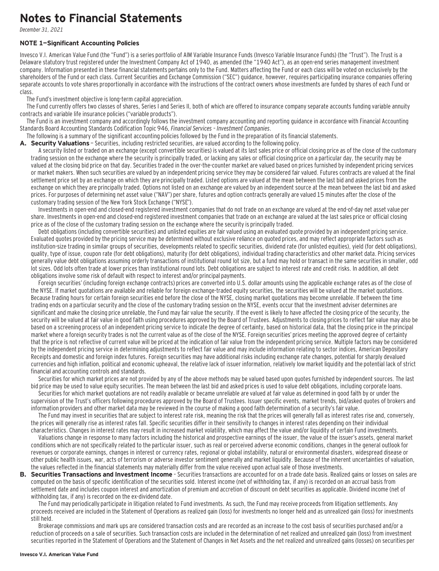### **Notes to Financial Statements**

December 31, 2021

#### **NOTE 1—Significant Accounting Policies**

Invesco V.I. American Value Fund (the "Fund") is a series portfolio of AIM Variable Insurance Funds (Invesco Variable Insurance Funds) (the "Trust"). The Trust is a Delaware statutory trust registered under the Investment Company Act of 1940, as amended (the "1940 Act"), as an open-end series management investment company. Information presented in these financial statements pertains only to the Fund. Matters affecting the Fund or each class will be voted on exclusively by the shareholders of the Fund or each class. Current Securities and Exchange Commission ("SEC") guidance, however, requires participating insurance companies offering separate accounts to vote shares proportionally in accordance with the instructions of the contract owners whose investments are funded by shares of each Fund or class.

The Fund's investment objective is long-term capital appreciation.

The Fund currently offers two classes of shares, Series I and Series II, both of which are offered to insurance company separate accounts funding variable annuity contracts and variable life insurance policies ("variable products").

The Fund is an investment company and accordingly follows the investment company accounting and reporting guidance in accordance with Financial Accounting Standards Board Accounting Standards Codification Topic 946, Financial Services – Investment Companies.

The following is a summary of the significant accounting policies followed by the Fund in the preparation of its financial statements.

A. Security Valuations - Securities, including restricted securities, are valued according to the following policy.

A security listed or traded on an exchange (except convertible securities) is valued at its last sales price or official closing price as of the close of the customary trading session on the exchange where the security is principally traded, or lacking any sales or official closing price on a particular day, the security may be valued at the closing bid price on that day. Securities traded in the over-the-counter market are valued based on prices furnished by independent pricing services or market makers. When such securities are valued by an independent pricing service they may be considered fair valued. Futures contracts are valued at the final settlement price set by an exchange on which they are principally traded. Listed options are valued at the mean between the last bid and asked prices from the exchange on which they are principally traded. Options not listed on an exchange are valued by an independent source at the mean between the last bid and asked prices. For purposes of determining net asset value ("NAV") per share, futures and option contracts generally are valued 15 minutes after the close of the customary trading session of the New York Stock Exchange ("NYSE").

Investments in open-end and closed-end registered investment companies that do not trade on an exchange are valued at the end-of-day net asset value per share. Investments in open-end and closed-end registered investment companies that trade on an exchange are valued at the last sales price or official closing price as of the close of the customary trading session on the exchange where the security is principally traded.

Debt obligations (including convertible securities) and unlisted equities are fair valued using an evaluated quote provided by an independent pricing service. Evaluated quotes provided by the pricing service may be determined without exclusive reliance on quoted prices, and may reflect appropriate factors such as institution-size trading in similar groups of securities, developments related to specific securities, dividend rate (for unlisted equities), yield (for debt obligations), quality, type of issue, coupon rate (for debt obligations), maturity (for debt obligations), individual trading characteristics and other market data. Pricing services generally value debt obligations assuming orderly transactions of institutional round lot size, but a fund may hold or transact in the same securities in smaller, odd lot sizes. Odd lots often trade at lower prices than institutional round lots. Debt obligations are subject to interest rate and credit risks. In addition, all debt obligations involve some risk of default with respect to interest and/or principal payments.

Foreign securities' (including foreign exchange contracts) prices are converted into U.S. dollar amounts using the applicable exchange rates as of the close of the NYSE. If market quotations are available and reliable for foreign exchange-traded equity securities, the securities will be valued at the market quotations. Because trading hours for certain foreign securities end before the close of the NYSE, closing market quotations may become unreliable. If between the time trading ends on a particular security and the close of the customary trading session on the NYSE, events occur that the investment adviser determines are significant and make the closing price unreliable, the Fund may fair value the security. If the event is likely to have affected the closing price of the security, the security will be valued at fair value in good faith using procedures approved by the Board of Trustees. Adjustments to closing prices to reflect fair value may also be based on a screening process of an independent pricing service to indicate the degree of certainty, based on historical data, that the closing price in the principal market where a foreign security trades is not the current value as of the close of the NYSE. Foreign securities' prices meeting the approved degree of certainty that the price is not reflective of current value will be priced at the indication of fair value from the independent pricing service. Multiple factors may be considered by the independent pricing service in determining adjustments to reflect fair value and may include information relating to sector indices, American Depositary Receipts and domestic and foreign index futures. Foreign securities may have additional risks including exchange rate changes, potential for sharply devalued currencies and high inflation, political and economic upheaval, the relative lack of issuer information, relatively low market liquidity and the potential lack of strict financial and accounting controls and standards.

Securities for which market prices are not provided by any of the above methods may be valued based upon quotes furnished by independent sources. The last bid price may be used to value equity securities. The mean between the last bid and asked prices is used to value debt obligations, including corporate loans.

Securities for which market quotations are not readily available or became unreliable are valued at fair value as determined in good faith by or under the supervision of the Trust's officers following procedures approved by the Board of Trustees. Issuer specific events, market trends, bid/asked quotes of brokers and information providers and other market data may be reviewed in the course of making a good faith determination of a security's fair value.

The Fund may invest in securities that are subject to interest rate risk, meaning the risk that the prices will generally fall as interest rates rise and, conversely, the prices will generally rise as interest rates fall. Specific securities differ in their sensitivity to changes in interest rates depending on their individual characteristics. Changes in interest rates may result in increased market volatility, which may affect the value and/or liquidity of certain Fund investments.

Valuations change in response to many factors including the historical and prospective earnings of the issuer, the value of the issuer's assets, general market conditions which are not specifically related to the particular issuer, such as real or perceived adverse economic conditions, changes in the general outlook for revenues or corporate earnings, changes in interest or currency rates, regional or global instability, natural or environmental disasters, widespread disease or other public health issues, war, acts of terrorism or adverse investor sentiment generally and market liquidity. Because of the inherent uncertainties of valuation, the values reflected in the financial statements may materially differ from the value received upon actual sale of those investments.

**B. Securities Transactions and Investment Income** - Securities transactions are accounted for on a trade date basis. Realized gains or losses on sales are computed on the basis of specific identification of the securities sold. Interest income (net of withholding tax, if any) is recorded on an accrual basis from settlement date and includes coupon interest and amortization of premium and accretion of discount on debt securities as applicable. Dividend income (net of withholding tax, if any) is recorded on the ex-dividend date.

The Fund may periodically participate in litigation related to Fund investments. As such, the Fund may receive proceeds from litigation settlements. Any proceeds received are included in the Statement of Operations as realized gain (loss) for investments no longer held and as unrealized gain (loss) for investments still held.

Brokerage commissions and mark ups are considered transaction costs and are recorded as an increase to the cost basis of securities purchased and/or a reduction of proceeds on a sale of securities. Such transaction costs are included in the determination of net realized and unrealized gain (loss) from investment securities reported in the Statement of Operations and the Statement of Changes in Net Assets and the net realized and unrealized gains (losses) on securities per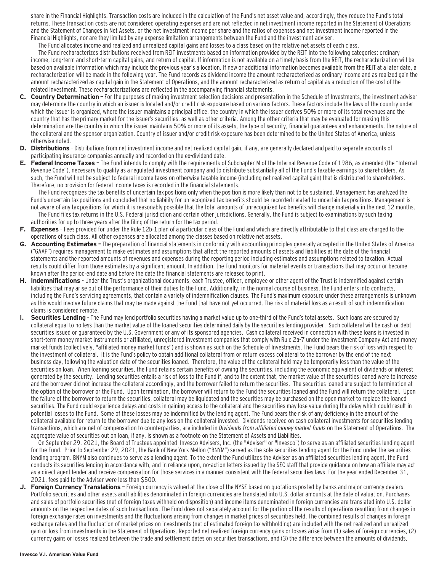share in the Financial Highlights. Transaction costs are included in the calculation of the Fund's net asset value and, accordingly, they reduce the Fund's total returns. These transaction costs are not considered operating expenses and are not reflected in net investment income reported in the Statement of Operations and the Statement of Changes in Net Assets, or the net investment income per share and the ratios of expenses and net investment income reported in the Financial Highlights, nor are they limited by any expense limitation arrangements between the Fund and the investment adviser.

The Fund allocates income and realized and unrealized capital gains and losses to a class based on the relative net assets of each class.

The Fund recharacterizes distributions received from REIT investments based on information provided by the REIT into the following categories: ordinary income, long-term and short-term capital gains, and return of capital. If information is not available on a timely basis from the REIT, the recharacterization will be based on available information which may include the previous year's allocation. If new or additional information becomes available from the REIT at a later date, a recharacterization will be made in the following year. The Fund records as dividend income the amount recharacterized as ordinary income and as realized gain the amount recharacterized as capital gain in the Statement of Operations, and the amount recharacterized as return of capital as a reduction of the cost of the related investment. These recharacterizations are reflected in the accompanying financial statements.

- **C. Country Determination**  For the purposes of making investment selection decisions and presentation in the Schedule of Investments, the investment adviser may determine the country in which an issuer is located and/or credit risk exposure based on various factors. These factors include the laws of the country under which the issuer is organized, where the issuer maintains a principal office, the country in which the issuer derives 50% or more of its total revenues and the country that has the primary market for the issuer's securities, as well as other criteria. Among the other criteria that may be evaluated for making this determination are the country in which the issuer maintains 50% or more of its assets, the type of security, financial guarantees and enhancements, the nature of the collateral and the sponsor organization. Country of issuer and/or credit risk exposure has been determined to be the United States of America, unless otherwise noted.
- **D. Distributions**  Distributions from net investment income and net realized capital gain, if any, are generally declared and paid to separate accounts of participating insurance companies annually and recorded on the ex-dividend date.
- **E. Federal Income Taxes** The Fund intends to comply with the requirements of Subchapter M of the Internal Revenue Code of 1986, as amended (the "Internal Revenue Code"), necessary to qualify as a regulated investment company and to distribute substantially all of the Fund's taxable earnings to shareholders. As such, the Fund will not be subject to federal income taxes on otherwise taxable income (including net realized capital gain) that is distributed to shareholders. Therefore, no provision for federal income taxes is recorded in the financial statements.

The Fund recognizes the tax benefits of uncertain tax positions only when the position is more likely than not to be sustained. Management has analyzed the Fund's uncertain tax positions and concluded that no liability for unrecognized tax benefits should be recorded related to uncertain tax positions. Management is not aware of any tax positions for which it is reasonably possible that the total amounts of unrecognized tax benefits will change materially in the next 12 months. The Fund files tax returns in the U.S. Federal jurisdiction and certain other jurisdictions. Generally, the Fund is subject to examinations by such taxing authorities for up to three years after the filing of the return for the tax period.

- **F. Expenses**  Fees provided for under the Rule 12b-1 plan of a particular class of the Fund and which are directly attributable to that class are charged to the operations of such class. All other expenses are allocated among the classes based on relative net assets.
- **G. Accounting Estimates** The preparation of financial statements in conformity with accounting principles generally accepted in the United States of America ("GAAP") requires management to make estimates and assumptions that affect the reported amounts of assets and liabilities at the date of the financial statements and the reported amounts of revenues and expenses during the reporting period including estimates and assumptions related to taxation. Actual results could differ from those estimates by a significant amount. In addition, the Fund monitors for material events or transactions that may occur or become known after the period-end date and before the date the financial statements are released to print.
- **H. Indemnifications**  Under the Trust's organizational documents, each Trustee, officer, employee or other agent of the Trust is indemnified against certain liabilities that may arise out of the performance of their duties to the Fund. Additionally, in the normal course of business, the Fund enters into contracts, including the Fund's servicing agreements, that contain a variety of indemnification clauses. The Fund's maximum exposure under these arrangements is unknown as this would involve future claims that may be made against the Fund that have not yet occurred. The risk of material loss as a result of such indemnification claims is considered remote.
- **I. Securities Lending**  The Fund may lend portfolio securities having a market value up to one-third of the Fund's total assets. Such loans are secured by collateral equal to no less than the market value of the loaned securities determined daily by the securities lending provider. Such collateral will be cash or debt securities issued or guaranteed by the U.S. Government or any of its sponsored agencies. Cash collateral received in connection with these loans is invested in short-term money market instruments or affiliated, unregistered investment companies that comply with Rule 2a-7 under the Investment Company Act and money market funds (collectively, "affiliated money market funds") and is shown as such on the Schedule of Investments. The Fund bears the risk of loss with respect to the investment of collateral. It is the Fund's policy to obtain additional collateral from or return excess collateral to the borrower by the end of the next business day, following the valuation date of the securities loaned. Therefore, the value of the collateral held may be temporarily less than the value of the securities on loan. When loaning securities, the Fund retains certain benefits of owning the securities, including the economic equivalent of dividends or interest generated by the security. Lending securities entails a risk of loss to the Fund if, and to the extent that, the market value of the securities loaned were to increase and the borrower did not increase the collateral accordingly, and the borrower failed to return the securities. The securities loaned are subject to termination at the option of the borrower or the Fund. Upon termination, the borrower will return to the Fund the securities loaned and the Fund will return the collateral. Upon the failure of the borrower to return the securities, collateral may be liquidated and the securities may be purchased on the open market to replace the loaned securities. The Fund could experience delays and costs in gaining access to the collateral and the securities may lose value during the delay which could result in potential losses to the Fund. Some of these losses may be indemnified by the lending agent. The Fund bears the risk of any deficiency in the amount of the collateral available for return to the borrower due to any loss on the collateral invested. Dividends received on cash collateral investments for securities lending transactions, which are net of compensation to counterparties, are included in Dividends from affiliated money market funds on the Statement of Operations. The aggregate value of securities out on loan, if any, is shown as a footnote on the Statement of Assets and Liabilities.

On September 29, 2021, the Board of Trustees appointed Invesco Advisers, Inc. (the "Adviser" or "Invesco") to serve as an affiliated securities lending agent for the Fund. Prior to September 29, 2021, the Bank of New York Mellon ("BNYM") served as the sole securities lending agent for the Fund under the securities lending program. BNYM also continues to serve as a lending agent. To the extent the Fund utilizes the Adviser as an affiliated securities lending agent, the Fund conducts its securities lending in accordance with, and in reliance upon, no-action letters issued by the SEC staff that provide guidance on how an affiliate may act as a direct agent lender and receive compensation for those services in a manner consistent with the federal securities laws. For the year ended December 31, 2021, fees paid to the Adviser were less than \$500.

**J. Foreign Currency Translations** — Foreign currency is valued at the close of the NYSE based on quotations posted by banks and major currency dealers. Portfolio securities and other assets and liabilities denominated in foreign currencies are translated into U.S. dollar amounts at the date of valuation. Purchases and sales of portfolio securities (net of foreign taxes withheld on disposition) and income items denominated in foreign currencies are translated into U.S. dollar amounts on the respective dates of such transactions. The Fund does not separately account for the portion of the results of operations resulting from changes in foreign exchange rates on investments and the fluctuations arising from changes in market prices of securities held. The combined results of changes in foreign exchange rates and the fluctuation of market prices on investments (net of estimated foreign tax withholding) are included with the net realized and unrealized gain or loss from investments in the Statement of Operations. Reported net realized foreign currency gains or losses arise from (1) sales of foreign currencies, (2) currency gains or losses realized between the trade and settlement dates on securities transactions, and (3) the difference between the amounts of dividends,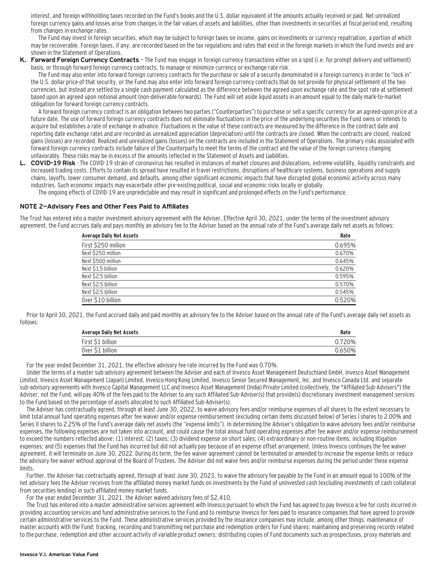interest, and foreign withholding taxes recorded on the Fund's books and the U.S. dollar equivalent of the amounts actually received or paid. Net unrealized foreign currency gains and losses arise from changes in the fair values of assets and liabilities, other than investments in securities at fiscal period end, resulting from changes in exchange rates.

The Fund may invest in foreign securities, which may be subject to foreign taxes on income, gains on investments or currency repatriation, a portion of which may be recoverable. Foreign taxes, if any, are recorded based on the tax regulations and rates that exist in the foreign markets in which the Fund invests and are shown in the Statement of Operations.

**K. Forward Foreign Currency Contracts** — The Fund may engage in foreign currency transactions either on a spot (i.e. for prompt delivery and settlement) basis, or through forward foreign currency contracts, to manage or minimize currency or exchange rate risk.

The Fund may also enter into forward foreign currency contracts for the purchase or sale of a security denominated in a foreign currency in order to "lock in" the U.S. dollar price of that security, or the Fund may also enter into forward foreign currency contracts that do not provide for physical settlement of the two currencies, but instead are settled by a single cash payment calculated as the difference between the agreed upon exchange rate and the spot rate at settlement based upon an agreed upon notional amount (non-deliverable forwards). The Fund will set aside liquid assets in an amount equal to the daily mark-to-market obligation for forward foreign currency contracts.

A forward foreign currency contract is an obligation between two parties ("Counterparties") to purchase or sell a specific currency for an agreed-upon price at a future date. The use of forward foreign currency contracts does not eliminate fluctuations in the price of the underlying securities the Fund owns or intends to acquire but establishes a rate of exchange in advance. Fluctuations in the value of these contracts are measured by the difference in the contract date and reporting date exchange rates and are recorded as unrealized appreciation (depreciation) until the contracts are closed. When the contracts are closed, realized gains (losses) are recorded. Realized and unrealized gains (losses) on the contracts are included in the Statement of Operations. The primary risks associated with forward foreign currency contracts include failure of the Counterparty to meet the terms of the contract and the value of the foreign currency changing unfavorably. These risks may be in excess of the amounts reflected in the Statement of Assets and Liabilities.

L. COVID-19 Risk - The COVID-19 strain of coronavirus has resulted in instances of market closures and dislocations, extreme volatility, liquidity constraints and increased trading costs. Efforts to contain its spread have resulted in travel restrictions, disruptions of healthcare systems, business operations and supply chains, layoffs, lower consumer demand, and defaults, among other significant economic impacts that have disrupted global economic activity across many industries. Such economic impacts may exacerbate other pre-existing political, social and economic risks locally or globally.

The ongoing effects of COVID-19 are unpredictable and may result in significant and prolonged effects on the Fund's performance.

#### **NOTE 2—Advisory Fees and Other Fees Paid to Affiliates**

The Trust has entered into a master investment advisory agreement with the Adviser. Effective April 30, 2021, under the terms of the investment advisory agreement, the Fund accrues daily and pays monthly an advisory fee to the Adviser based on the annual rate of the Fund's average daily net assets as follows:

| <b>Average Daily Net Assets</b> | Rate   |  |  |
|---------------------------------|--------|--|--|
| First \$250 million             | 0.695% |  |  |
| Next \$250 million              | 0.670% |  |  |
| Next \$500 million              | 0.645% |  |  |
| Next \$1.5 billion              | 0.620% |  |  |
| Next \$2.5 billion              | 0.595% |  |  |
| Next \$2.5 billion              | 0.570% |  |  |
| Next \$2.5 billion              | 0.545% |  |  |
| Over \$10 billion               | 0.520% |  |  |

Prior to April 30, 2021, the Fund accrued daily and paid monthly an advisory fee to the Adviser based on the annual rate of the Fund's average daily net assets as follows:

| <b>Average Daily Net Assets</b> | Rate   |
|---------------------------------|--------|
| First \$1 billion               | 0.720% |
| Over \$1 billion                | 0.650% |

For the year ended December 31, 2021, the effective advisory fee rate incurred by the Fund was 0.70%.

Under the terms of a master sub-advisory agreement between the Adviser and each of Invesco Asset Management Deutschland GmbH, Invesco Asset Management Limited, Invesco Asset Management (Japan) Limited, Invesco Hong Kong Limited, Invesco Senior Secured Management, Inc. and Invesco Canada Ltd. and separate sub-advisory agreements with Invesco Capital Management LLC and Invesco Asset Management (India) Private Limited (collectively, the "Affiliated Sub-Advisers") the Adviser, not the Fund, will pay 40% of the fees paid to the Adviser to any such Affiliated Sub-Adviser(s) that provide(s) discretionary investment management services to the Fund based on the percentage of assets allocated to such Affiliated Sub-Adviser(s).

The Adviser has contractually agreed, through at least June 30, 2022, to waive advisory fees and/or reimburse expenses of all shares to the extent necessary to limit total annual fund operating expenses after fee waiver and/or expense reimbursement (excluding certain items discussed below) of Series I shares to 2.00% and Series II shares to 2.25% of the Fund's average daily net assets (the "expense limits"). In determining the Adviser's obligation to waive advisory fees and/or reimburse expenses, the following expenses are not taken into account, and could cause the total annual fund operating expenses after fee waiver and/or expense reimbursement to exceed the numbers reflected above: (1) interest; (2) taxes; (3) dividend expense on short sales; (4) extraordinary or non-routine items, including litigation expenses; and (5) expenses that the Fund has incurred but did not actually pay because of an expense offset arrangement. Unless Invesco continues the fee waiver agreement, it will terminate on June 30, 2022. During its term, the fee waiver agreement cannot be terminated or amended to increase the expense limits or reduce the advisory fee waiver without approval of the Board of Trustees. The Adviser did not waive fees and/or reimburse expenses during the period under these expense limits.

Further, the Adviser has contractually agreed, through at least June 30, 2023, to waive the advisory fee payable by the Fund in an amount equal to 100% of the net advisory fees the Adviser receives from the affiliated money market funds on investments by the Fund of uninvested cash (excluding investments of cash collateral from securities lending) in such affiliated money market funds.

For the year ended December 31, 2021, the Adviser waived advisory fees of \$2,410.

The Trust has entered into a master administrative services agreement with Invesco pursuant to which the Fund has agreed to pay Invesco a fee for costs incurred in providing accounting services and fund administrative services to the Fund and to reimburse Invesco for fees paid to insurance companies that have agreed to provide certain administrative services to the Fund. These administrative services provided by the insurance companies may include, among other things: maintenance of master accounts with the Fund; tracking, recording and transmitting net purchase and redemption orders for Fund shares; maintaining and preserving records related to the purchase, redemption and other account activity of variable product owners; distributing copies of Fund documents such as prospectuses, proxy materials and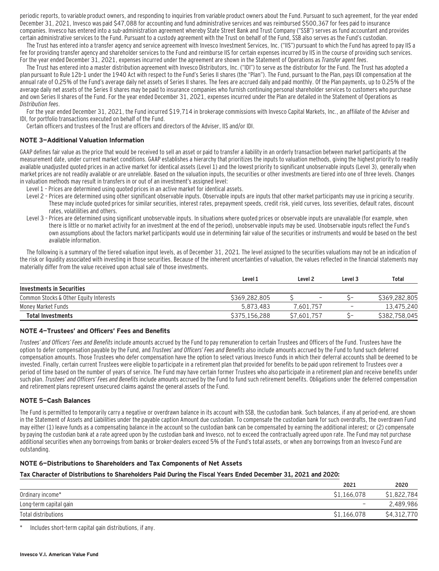periodic reports, to variable product owners, and responding to inquiries from variable product owners about the Fund. Pursuant to such agreement, for the year ended December 31, 2021, Invesco was paid \$47,088 for accounting and fund administrative services and was reimbursed \$500,367 for fees paid to insurance companies. Invesco has entered into a sub-administration agreement whereby State Street Bank and Trust Company ("SSB") serves as fund accountant and provides certain administrative services to the Fund. Pursuant to a custody agreement with the Trust on behalf of the Fund, SSB also serves as the Fund's custodian.

The Trust has entered into a transfer agency and service agreement with Invesco Investment Services, Inc. ("IIS") pursuant to which the Fund has agreed to pay IIS a fee for providing transfer agency and shareholder services to the Fund and reimburse IIS for certain expenses incurred by IIS in the course of providing such services. For the year ended December 31, 2021, expenses incurred under the agreement are shown in the Statement of Operations as Transfer agent fees.

The Trust has entered into a master distribution agreement with Invesco Distributors, Inc. ("IDI") to serve as the distributor for the Fund. The Trust has adopted a plan pursuant to Rule 12b-1 under the 1940 Act with respect to the Fund's Series II shares (the "Plan"). The Fund, pursuant to the Plan, pays IDI compensation at the annual rate of 0.25% of the Fund's average daily net assets of Series II shares. The fees are accrued daily and paid monthly. Of the Plan payments, up to 0.25% of the average daily net assets of the Series II shares may be paid to insurance companies who furnish continuing personal shareholder services to customers who purchase and own Series II shares of the Fund. For the year ended December 31, 2021, expenses incurred under the Plan are detailed in the Statement of Operations as Distribution fees.

For the year ended December 31, 2021, the Fund incurred \$19,714 in brokerage commissions with Invesco Capital Markets, Inc., an affiliate of the Adviser and IDI, for portfolio transactions executed on behalf of the Fund.

Certain officers and trustees of the Trust are officers and directors of the Adviser, IIS and/or IDI.

#### **NOTE 3—Additional Valuation Information**

GAAP defines fair value as the price that would be received to sell an asset or paid to transfer a liability in an orderly transaction between market participants at the measurement date, under current market conditions. GAAP establishes a hierarchy that prioritizes the inputs to valuation methods, giving the highest priority to readily available unadjusted quoted prices in an active market for identical assets (Level 1) and the lowest priority to significant unobservable inputs (Level 3), generally when market prices are not readily available or are unreliable. Based on the valuation inputs, the securities or other investments are tiered into one of three levels. Changes in valuation methods may result in transfers in or out of an investment's assigned level:

- Level 1 Prices are determined using quoted prices in an active market for identical assets.
- Level 2 Prices are determined using other significant observable inputs. Observable inputs that other market participants may use in pricing a security. These may include quoted prices for similar securities, interest rates, prepayment speeds, credit risk, yield curves, loss severities, default rates, discount rates, volatilities and others.
- Level 3 Prices are determined using significant unobservable inputs. In situations where quoted prices or observable inputs are unavailable (for example, when there is little or no market activity for an investment at the end of the period), unobservable inputs may be used. Unobservable inputs reflect the Fund's own assumptions about the factors market participants would use in determining fair value of the securities or instruments and would be based on the best available information.

The following is a summary of the tiered valuation input levels, as of December 31, 2021. The level assigned to the securities valuations may not be an indication of the risk or liquidity associated with investing in those securities. Because of the inherent uncertainties of valuation, the values reflected in the financial statements may materially differ from the value received upon actual sale of those investments.

|                                        | Level 1       | Level <sub>2</sub>       | Level 3 | Total         |
|----------------------------------------|---------------|--------------------------|---------|---------------|
| Investments in Securities              |               |                          |         |               |
| Common Stocks & Other Equity Interests | \$369,282,805 | $\overline{\phantom{a}}$ |         | \$369,282,805 |
| Money Market Funds                     | 5.873.483     | 7.601.757                | -       | 13,475,240    |
| <b>Total Investments</b>               | \$375,156,288 | S7.601.757               |         | \$382,758,045 |

#### **NOTE 4—Trustees' and Officers' Fees and Benefits**

Trustees' and Officers' Fees and Benefits include amounts accrued by the Fund to pay remuneration to certain Trustees and Officers of the Fund. Trustees have the option to defer compensation payable by the Fund, and Trustees' and Officers' Fees and Benefits also include amounts accrued by the Fund to fund such deferred compensation amounts. Those Trustees who defer compensation have the option to select various Invesco Funds in which their deferral accounts shall be deemed to be invested. Finally, certain current Trustees were eligible to participate in a retirement plan that provided for benefits to be paid upon retirement to Trustees over a period of time based on the number of years of service. The Fund may have certain former Trustees who also participate in a retirement plan and receive benefits under such plan. Trustees' and Officers' Fees and Benefits include amounts accrued by the Fund to fund such retirement benefits. Obligations under the deferred compensation and retirement plans represent unsecured claims against the general assets of the Fund.

#### **NOTE 5—Cash Balances**

The Fund is permitted to temporarily carry a negative or overdrawn balance in its account with SSB, the custodian bank. Such balances, if any at period-end, are shown in the Statement of Assets and Liabilities under the payable caption Amount due custodian. To compensate the custodian bank for such overdrafts, the overdrawn Fund may either (1) leave funds as a compensating balance in the account so the custodian bank can be compensated by earning the additional interest; or (2) compensate by paying the custodian bank at a rate agreed upon by the custodian bank and Invesco, not to exceed the contractually agreed upon rate. The Fund may not purchase additional securities when any borrowings from banks or broker-dealers exceed 5% of the Fund's total assets, or when any borrowings from an Invesco Fund are outstanding.

#### **NOTE 6—Distributions to Shareholders and Tax Components of Net Assets**

#### **Tax Character of Distributions to Shareholders Paid During the Fiscal Years Ended December 31, 2021 and 2020:**

|                        | 2021                     | 2020        |
|------------------------|--------------------------|-------------|
| Ordinary income*       | \$1.166.078              | \$1,822,784 |
| Long-term capital gain | $\overline{\phantom{a}}$ | 2,489,986   |
| Total distributions    | \$1,166,078              | \$4,312,770 |

\* Includes short-term capital gain distributions, if any.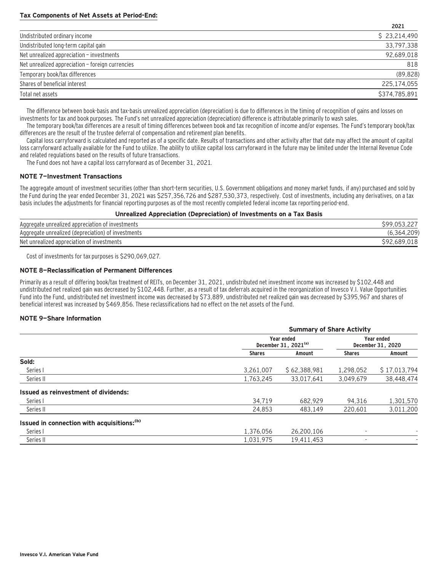#### **Tax Components of Net Assets at Period-End:**

|                                                  | <b>LUCI</b>   |
|--------------------------------------------------|---------------|
| Undistributed ordinary income                    | \$23,214,490  |
| Undistributed long-term capital gain             | 33,797,338    |
| Net unrealized appreciation - investments        | 92,689,018    |
| Net unrealized appreciation - foreign currencies | 818           |
| Temporary book/tax differences                   | (89, 828)     |
| Shares of beneficial interest                    | 225.174.055   |
| Total net assets                                 | \$374,785,891 |

**2021**

The difference between book-basis and tax-basis unrealized appreciation (depreciation) is due to differences in the timing of recognition of gains and losses on investments for tax and book purposes. The Fund's net unrealized appreciation (depreciation) difference is attributable primarily to wash sales.

The temporary book/tax differences are a result of timing differences between book and tax recognition of income and/or expenses. The Fund's temporary book/tax differences are the result of the trustee deferral of compensation and retirement plan benefits.

Capital loss carryforward is calculated and reported as of a specific date. Results of transactions and other activity after that date may affect the amount of capital loss carryforward actually available for the Fund to utilize. The ability to utilize capital loss carryforward in the future may be limited under the Internal Revenue Code and related regulations based on the results of future transactions.

The Fund does not have a capital loss carryforward as of December 31, 2021.

#### **NOTE 7—Investment Transactions**

The aggregate amount of investment securities (other than short-term securities, U.S. Government obligations and money market funds, if any) purchased and sold by the Fund during the year ended December 31, 2021 was \$257,356,726 and \$287,530,373, respectively. Cost of investments, including any derivatives, on a tax basis includes the adjustments for financial reporting purposes as of the most recently completed federal income tax reporting period-end.

#### **Unrealized Appreciation (Depreciation) of Investments on a Tax Basis**

| Aggregate unrealized appreciation of investments   |    |
|----------------------------------------------------|----|
| Aggregate unrealized (depreciation) of investments |    |
| Net unrealized appreciation of investments         | ٥. |

Cost of investments for tax purposes is \$290,069,027.

#### **NOTE 8—Reclassification of Permanent Differences**

Primarily as a result of differing book/tax treatment of REITs, on December 31, 2021, undistributed net investment income was increased by \$102,448 and undistributed net realized gain was decreased by \$102,448. Further, as a result of tax deferrals acquired in the reorganization of Invesco V.I. Value Opportunities Fund into the Fund, undistributed net investment income was decreased by \$73,889, undistributed net realized gain was decreased by \$395,967 and shares of beneficial interest was increased by \$469,856. These reclassifications had no effect on the net assets of the Fund.

#### **NOTE 9—Share Information**

|                                                        | <b>Summary of Share Activity</b>               |                                 |               |              |  |  |
|--------------------------------------------------------|------------------------------------------------|---------------------------------|---------------|--------------|--|--|
|                                                        | Year ended<br>December 31, 2021 <sup>(a)</sup> | Year ended<br>December 31, 2020 |               |              |  |  |
|                                                        | <b>Shares</b>                                  | Amount                          | <b>Shares</b> | Amount       |  |  |
| Sold:                                                  |                                                |                                 |               |              |  |  |
| Series I                                               | 3,261,007                                      | \$62.388.981                    | 1,298,052     | \$17,013,794 |  |  |
| Series II                                              | 1,763,245                                      | 33.017.641                      | 3.049.679     | 38,448,474   |  |  |
| Issued as reinvestment of dividends:                   |                                                |                                 |               |              |  |  |
| Series I                                               | 34.719                                         | 682.929                         | 94.316        | 1,301,570    |  |  |
| Series II                                              | 24,853                                         | 483.149                         | 220.601       | 3,011,200    |  |  |
| Issued in connection with acquisitions: <sup>(b)</sup> |                                                |                                 |               |              |  |  |
| Series I                                               | 1,376,056                                      | 26.200.106                      |               |              |  |  |
| Series II                                              | 1,031,975                                      | 19,411,453                      |               |              |  |  |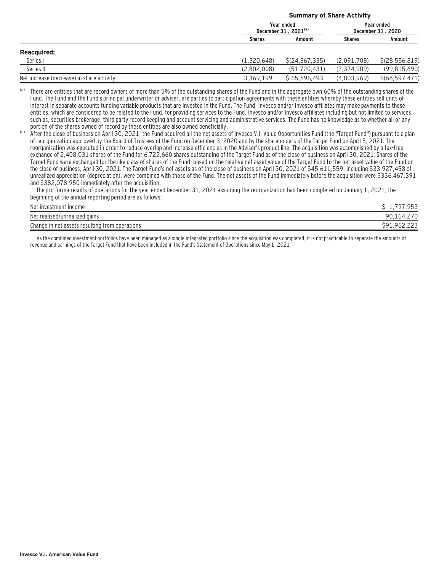|                                           | <b>Summary of Share Activity</b>               |                  |                                 |                  |  |
|-------------------------------------------|------------------------------------------------|------------------|---------------------------------|------------------|--|
|                                           | Year ended<br>December 31, 2021 <sup>(a)</sup> |                  | Year ended<br>December 31, 2020 |                  |  |
|                                           | <b>Shares</b>                                  | Amount           | <b>Shares</b>                   | Amount           |  |
| <b>Reacquired:</b>                        |                                                |                  |                                 |                  |  |
| Series I                                  | (1.320.648)                                    | \$(24, 867, 335) | (2.091.708)                     | \$(28, 556, 819) |  |
| Series II                                 | (2.802.008)                                    | (51, 720, 431)   | (7, 374, 909)                   | (99, 815, 690)   |  |
| Net increase (decrease) in share activity | 3.369.199                                      | \$65.596.493     | (4.803.969)                     | \$(68, 597, 471) |  |

(a) There are entities that are record owners of more than 5% of the outstanding shares of the Fund and in the aggregate own 60% of the outstanding shares of the Fund. The Fund and the Fund's principal underwriter or adviser, are parties to participation agreements with these entities whereby these entities sell units of interest in separate accounts funding variable products that are invested in the Fund. The Fund, Invesco and/or Invesco affiliates may make payments to these entities, which are considered to be related to the Fund, for providing services to the Fund, Invesco and/or Invesco affiliates including but not limited to services such as, securities brokerage, third party record keeping and account servicing and administrative services. The Fund has no knowledge as to whether all or any portion of the shares owned of record by these entities are also owned beneficially.

(b) After the close of business on April 30, 2021, the Fund acquired all the net assets of Invesco V.I. Value Opportunities Fund (the "Target Fund") pursuant to a plan of reorganization approved by the Board of Trustees of the Fund on December 3, 2020 and by the shareholders of the Target Fund on April 5, 2021. The reorganization was executed in order to reduce overlap and increase efficiencies in the Adviser's product line. The acquisition was accomplished by a tax-free exchange of 2,408,031 shares of the Fund for 6,722,660 shares outstanding of the Target Fund as of the close of business on April 30, 2021. Shares of the Target Fund were exchanged for the like class of shares of the Fund, based on the relative net asset value of the Target Fund to the net asset value of the Fund on the close of business, April 30, 2021. The Target Fund's net assets as of the close of business on April 30, 2021 of \$45,611,559, including \$33,927,458 of unrealized appreciation (depreciation), were combined with those of the Fund. The net assets of the Fund immediately before the acquisition were \$336,467,391 and \$382,078,950 immediately after the acquisition.

 The pro forma results of operations for the year ended December 31, 2021 assuming the reorganization had been completed on January 1, 2021, the beginning of the annual reporting period are as follows:

| Net investment income                          |                        |
|------------------------------------------------|------------------------|
| Net realized/unrealized gains                  | $\cap$<br>90,164,      |
| Change in net assets resulting from operations | \$91.<br>96<br>JUL.LLJ |

As the combined investment portfolios have been managed as a single integrated portfolio since the acquisition was completed, it is not practicable to separate the amounts of revenue and earnings of the Target Fund that have been included in the Fund's Statement of Operations since May 1, 2021.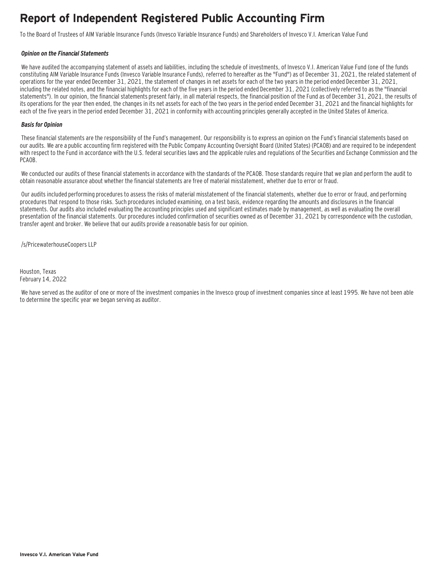### **Report of Independent Registered Public Accounting Firm**

To the Board of Trustees of AIM Variable Insurance Funds (Invesco Variable Insurance Funds) and Shareholders of Invesco V.I. American Value Fund

#### **Opinion on the Financial Statements**

We have audited the accompanying statement of assets and liabilities, including the schedule of investments, of Invesco V.I. American Value Fund (one of the funds constituting AIM Variable Insurance Funds (Invesco Variable Insurance Funds), referred to hereafter as the "Fund") as of December 31, 2021, the related statement of operations for the year ended December 31, 2021, the statement of changes in net assets for each of the two years in the period ended December 31, 2021, including the related notes, and the financial highlights for each of the five years in the period ended December 31, 2021 (collectively referred to as the "financial statements"). In our opinion, the financial statements present fairly, in all material respects, the financial position of the Fund as of December 31, 2021, the results of its operations for the year then ended, the changes in its net assets for each of the two years in the period ended December 31, 2021 and the financial highlights for each of the five years in the period ended December 31, 2021 in conformity with accounting principles generally accepted in the United States of America.

#### **Basis for Opinion**

These financial statements are the responsibility of the Fund's management. Our responsibility is to express an opinion on the Fund's financial statements based on our audits. We are a public accounting firm registered with the Public Company Accounting Oversight Board (United States) (PCAOB) and are required to be independent with respect to the Fund in accordance with the U.S. federal securities laws and the applicable rules and regulations of the Securities and Exchange Commission and the PCAOB.

We conducted our audits of these financial statements in accordance with the standards of the PCAOB. Those standards require that we plan and perform the audit to obtain reasonable assurance about whether the financial statements are free of material misstatement, whether due to error or fraud.

 Our audits included performing procedures to assess the risks of material misstatement of the financial statements, whether due to error or fraud, and performing procedures that respond to those risks. Such procedures included examining, on a test basis, evidence regarding the amounts and disclosures in the financial statements. Our audits also included evaluating the accounting principles used and significant estimates made by management, as well as evaluating the overall presentation of the financial statements. Our procedures included confirmation of securities owned as of December 31, 2021 by correspondence with the custodian, transfer agent and broker. We believe that our audits provide a reasonable basis for our opinion.

/s/PricewaterhouseCoopers LLP

Houston, Texas February 14, 2022

 We have served as the auditor of one or more of the investment companies in the Invesco group of investment companies since at least 1995. We have not been able to determine the specific year we began serving as auditor.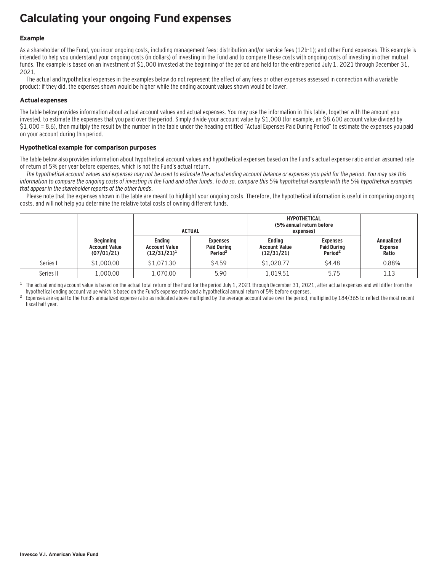### **Calculating your ongoing Fund expenses**

#### **Example**

As a shareholder of the Fund, you incur ongoing costs, including management fees; distribution and/or service fees (12b-1); and other Fund expenses. This example is intended to help you understand your ongoing costs (in dollars) of investing in the Fund and to compare these costs with ongoing costs of investing in other mutual funds. The example is based on an investment of \$1,000 invested at the beginning of the period and held for the entire period July 1, 2021 through December 31, 2021.

The actual and hypothetical expenses in the examples below do not represent the effect of any fees or other expenses assessed in connection with a variable product; if they did, the expenses shown would be higher while the ending account values shown would be lower.

#### **Actual expenses**

The table below provides information about actual account values and actual expenses. You may use the information in this table, together with the amount you invested, to estimate the expenses that you paid over the period. Simply divide your account value by \$1,000 (for example, an \$8,600 account value divided by \$1,000 = 8.6), then multiply the result by the number in the table under the heading entitled "Actual Expenses Paid During Period" to estimate the expenses you paid on your account during this period.

#### **Hypothetical example for comparison purposes**

The table below also provides information about hypothetical account values and hypothetical expenses based on the Fund's actual expense ratio and an assumed rate of return of 5% per year before expenses, which is not the Fund's actual return.

The hypothetical account values and expenses may not be used to estimate the actual ending account balance or expenses you paid for the period. You may use this information to compare the ongoing costs of investing in the Fund and other funds. To do so, compare this 5% hypothetical example with the 5% hypothetical examples that appear in the shareholder reports of the other funds.

Please note that the expenses shown in the table are meant to highlight your ongoing costs. Therefore, the hypothetical information is useful in comparing ongoing costs, and will not help you determine the relative total costs of owning different funds.

|           |                                                        | <b>ACTUAL</b>                                           |                                                              | <b>HYPOTHETICAL</b><br>(5% annual return before<br>expenses) |                                                              |                                              |
|-----------|--------------------------------------------------------|---------------------------------------------------------|--------------------------------------------------------------|--------------------------------------------------------------|--------------------------------------------------------------|----------------------------------------------|
|           | <b>Beginning</b><br><b>Account Value</b><br>(07/01/21) | <b>Endina</b><br><b>Account Value</b><br>$(12/31/21)^1$ | <b>Expenses</b><br><b>Paid During</b><br>Period <sup>2</sup> | <b>Endina</b><br><b>Account Value</b><br>(12/31/21)          | <b>Expenses</b><br><b>Paid During</b><br>Period <sup>2</sup> | <b>Annualized</b><br><b>Expense</b><br>Ratio |
| Series I  | \$1,000.00                                             | \$1,071.30                                              | \$4.59                                                       | \$1,020.77                                                   | \$4.48                                                       | 0.88%                                        |
| Series II | 1,000.00                                               | 1,070.00                                                | 5.90                                                         | 1.019.51                                                     | 5.75                                                         | 1.13                                         |

<sup>1</sup> The actual ending account value is based on the actual total return of the Fund for the period July 1, 2021 through December 31, 2021, after actual expenses and will differ from the hupothetical ending account value w

Expenses are equal to the Fund's annualized expense ratio as indicated above multiplied by the average account value over the period, multiplied by 184/365 to reflect the most recent fiscal half year.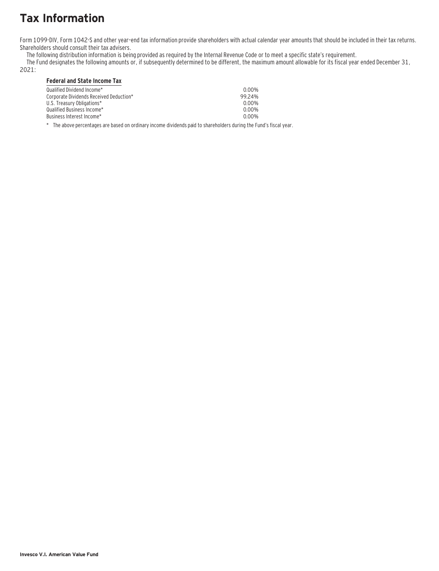# **Tax Information**

Form 1099-DIV, Form 1042-S and other year–end tax information provide shareholders with actual calendar year amounts that should be included in their tax returns. Shareholders should consult their tax advisers.

The following distribution information is being provided as required by the Internal Revenue Code or to meet a specific state's requirement.

The Fund designates the following amounts or, if subsequently determined to be different, the maximum amount allowable for its fiscal year ended December 31,

### 2021:

#### **Federal and State Income Tax**

| Oualified Dividend Income*              | 0.00% |
|-----------------------------------------|-------|
| Corporate Dividends Received Deduction* | 9924% |
| U.S. Treasurv Obligations*              | 0.00% |
| Qualified Business Income*_             | 0.00% |
| Business Interest Income*_              | 0.00% |
|                                         |       |

\* The above percentages are based on ordinary income dividends paid to shareholders during the Fund's fiscal year.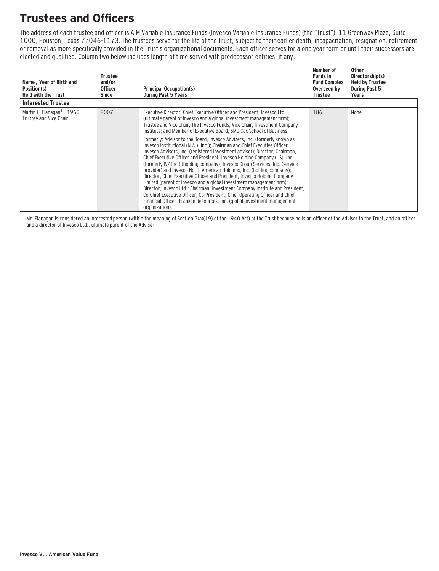## **Trustees and Officers**

The address of each trustee and officer is AIM Variable Insurance Funds (Invesco Variable Insurance Funds) (the "Trust"), 11 Greenway Plaza, Suite 1000, Houston, Texas 77046-1173. The trustees serve for the life of the Trust, subject to their earlier death, incapacitation, resignation, retirement or removal as more specifically provided in the Trust's organizational documents. Each officer serves for a one year term or until their successors are elected and qualified. Column two below includes length of time served with predecessor entities, if any.

| Name, Year of Birth and<br>Position(s)<br><b>Held with the Trust</b> | Trustee<br>and/or<br><b>Officer</b><br>Since | <b>Principal Occupation(s)</b><br><b>During Past 5 Years</b>                                                                                                                                                                                                                                                                                                                                                                                                                                                                                                                                                                                                                                                                                                                                                                                                                                                                                                                                                                                                                                                                                                                                             | Number of<br><b>Funds in</b><br><b>Fund Complex</b><br>Overseen by<br>Trustee | Other<br>Directorship(s)<br><b>Held by Trustee</b><br><b>During Past 5</b><br>Years |
|----------------------------------------------------------------------|----------------------------------------------|----------------------------------------------------------------------------------------------------------------------------------------------------------------------------------------------------------------------------------------------------------------------------------------------------------------------------------------------------------------------------------------------------------------------------------------------------------------------------------------------------------------------------------------------------------------------------------------------------------------------------------------------------------------------------------------------------------------------------------------------------------------------------------------------------------------------------------------------------------------------------------------------------------------------------------------------------------------------------------------------------------------------------------------------------------------------------------------------------------------------------------------------------------------------------------------------------------|-------------------------------------------------------------------------------|-------------------------------------------------------------------------------------|
| <b>Interested Trustee</b>                                            |                                              |                                                                                                                                                                                                                                                                                                                                                                                                                                                                                                                                                                                                                                                                                                                                                                                                                                                                                                                                                                                                                                                                                                                                                                                                          |                                                                               |                                                                                     |
| Martin L. Flanagan $1$ – 1960<br>Trustee and Vice Chair              | 2007                                         | Executive Director, Chief Executive Officer and President, Invesco Ltd.<br>(ultimate parent of Invesco and a global investment management firm);<br>Trustee and Vice Chair, The Invesco Funds; Vice Chair, Investment Company<br>Institute; and Member of Executive Board, SMU Cox School of Business<br>Formerly: Advisor to the Board, Invesco Advisers, Inc. (formerly known as<br>Invesco Institutional (N.A.), Inc.): Chairman and Chief Executive Officer.<br>Invesco Advisers, Inc. (registered investment adviser); Director, Chairman,<br>Chief Executive Officer and President, Invesco Holding Company (US), Inc.<br>(formerly IVZ Inc.) (holding company), Invesco Group Services, Inc. (service<br>provider) and Invesco North American Holdings, Inc. (holding company);<br>Director, Chief Executive Officer and President, Invesco Holding Company<br>Limited (parent of Invesco and a global investment management firm);<br>Director, Invesco Ltd.; Chairman, Investment Company Institute and President,<br>Co-Chief Executive Officer, Co-President, Chief Operating Officer and Chief<br>Financial Officer, Franklin Resources, Inc. (global investment management<br>organization) | 186                                                                           | None                                                                                |

 $1$  Mr. Flanagan is considered an interested person (within the meaning of Section 2(a)(19) of the 1940 Act) of the Trust because he is an officer of the Adviser to the Trust, and an officer and a director of Invesco Ltd., ultimate parent of the Adviser.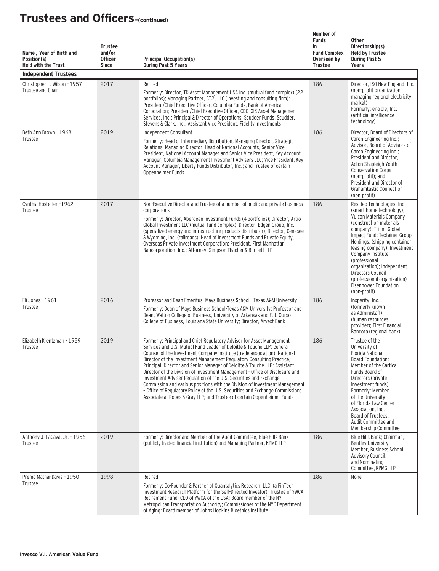| Name, Year of Birth and<br>Position(s)<br><b>Held with the Trust</b><br><b>Independent Trustees</b> | <b>Trustee</b><br>and/or<br><b>Officer</b><br><b>Since</b> | <b>Principal Occupation(s)</b><br><b>During Past 5 Years</b>                                                                                                                                                                                                                                                                                                                                                                                                                                                                                                                                                                                                                                                                                                                        | Number of<br><b>Funds</b><br>in<br><b>Fund Complex</b><br>Overseen by<br><b>Trustee</b> | <b>Other</b><br>Directorship(s)<br><b>Held by Trustee</b><br><b>During Past 5</b><br>Years                                                                                                                                                                                                                                                                                                                   |
|-----------------------------------------------------------------------------------------------------|------------------------------------------------------------|-------------------------------------------------------------------------------------------------------------------------------------------------------------------------------------------------------------------------------------------------------------------------------------------------------------------------------------------------------------------------------------------------------------------------------------------------------------------------------------------------------------------------------------------------------------------------------------------------------------------------------------------------------------------------------------------------------------------------------------------------------------------------------------|-----------------------------------------------------------------------------------------|--------------------------------------------------------------------------------------------------------------------------------------------------------------------------------------------------------------------------------------------------------------------------------------------------------------------------------------------------------------------------------------------------------------|
| Christopher L. Wilson - 1957<br>Trustee and Chair                                                   | 2017                                                       | Retired<br>Formerly: Director, TD Asset Management USA Inc. (mutual fund complex) (22<br>portfolios); Managing Partner, CT2, LLC (investing and consulting firm);<br>President/Chief Executive Officer, Columbia Funds, Bank of America<br>Corporation; President/Chief Executive Officer, CDC IXIS Asset Management<br>Services, Inc.; Principal & Director of Operations, Scudder Funds, Scudder,<br>Stevens & Clark, Inc.; Assistant Vice President, Fidelity Investments                                                                                                                                                                                                                                                                                                        | 186                                                                                     | Director, ISO New England, Inc.<br>(non-profit organization<br>managing regional electricity<br>market)<br>Formerly: enaible, Inc.<br>(artificial intelligence<br>technology)                                                                                                                                                                                                                                |
| Beth Ann Brown - 1968<br>Trustee                                                                    | 2019                                                       | Independent Consultant<br>Formerly: Head of Intermediary Distribution, Managing Director, Strategic<br>Relations, Managing Director, Head of National Accounts, Senior Vice<br>President, National Account Manager and Senior Vice President, Key Account<br>Manager, Columbia Management Investment Advisers LLC; Vice President, Key<br>Account Manager, Liberty Funds Distributor, Inc.; and Trustee of certain<br>Oppenheimer Funds                                                                                                                                                                                                                                                                                                                                             | 186                                                                                     | Director, Board of Directors of<br>Caron Engineering Inc.;<br>Advisor, Board of Advisors of<br>Caron Engineering Inc.;<br>President and Director,<br>Acton Shapleigh Youth<br><b>Conservation Corps</b><br>(non-profit); and<br>President and Director of<br><b>Grahamtastic Connection</b><br>(non-profit)                                                                                                  |
| Cynthia Hostetler-1962<br>Trustee                                                                   | 2017                                                       | Non-Executive Director and Trustee of a number of public and private business<br>corporations<br>Formerly: Director, Aberdeen Investment Funds (4 portfolios); Director, Artio<br>Global Investment LLC (mutual fund complex); Director, Edgen Group, Inc.<br>(specialized energy and infrastructure products distributor); Director, Genesee<br>& Wyoming, Inc. (railroads); Head of Investment Funds and Private Equity,<br>Overseas Private Investment Corporation; President, First Manhattan<br>Bancorporation, Inc.; Attorney, Simpson Thacher & Bartlett LLP                                                                                                                                                                                                                 | 186                                                                                     | Resideo Technologies, Inc.<br>(smart home technology);<br>Vulcan Materials Company<br>(construction materials)<br>company); Trilinc Global<br>Impact Fund; Textainer Group<br>Holdings, (shipping container<br>leasing company); Investment<br>Company Institute<br>(professional<br>organization); Independent<br>Directors Council<br>(professional organization)<br>Eisenhower Foundation<br>(non-profit) |
| Eli Jones - 1961<br>Trustee                                                                         | 2016                                                       | Professor and Dean Emeritus, Mays Business School - Texas A&M University<br>Formerly: Dean of Mays Business School-Texas A&M University; Professor and<br>Dean, Walton College of Business, University of Arkansas and E.J. Ourso<br>College of Business, Louisiana State University; Director, Arvest Bank                                                                                                                                                                                                                                                                                                                                                                                                                                                                         | 186                                                                                     | Insperity, Inc.<br>(formerly known)<br>as Administaff)<br>(human resources<br>provider): First Financial<br>Bancorp (regional bank)                                                                                                                                                                                                                                                                          |
| Elizabeth Krentzman - 1959<br>Trustee                                                               | 2019                                                       | Formerly: Principal and Chief Regulatory Advisor for Asset Management<br>Services and U.S. Mutual Fund Leader of Deloitte & Touche LLP: General<br>Counsel of the Investment Company Institute (trade association); National<br>Director of the Investment Management Regulatory Consulting Practice,<br>Principal, Director and Senior Manager of Deloitte & Touche LLP; Assistant<br>Director of the Division of Investment Management - Office of Disclosure and<br>Investment Adviser Regulation of the U.S. Securities and Exchange<br>Commission and various positions with the Division of Investment Management<br>- Office of Regulatory Policy of the U.S. Securities and Exchange Commission;<br>Associate at Ropes & Gray LLP; and Trustee of certain Oppenheimer Funds | 186                                                                                     | Trustee of the<br>University of<br><b>Florida National</b><br>Board Foundation;<br>Member of the Cartica<br>Funds Board of<br>Directors (private<br>investment funds)<br>Formerly: Member<br>of the University<br>of Florida Law Center<br>Association, Inc.<br>Board of Trustees,<br>Audit Committee and<br>Membership Committee                                                                            |
| Anthony J. LaCava, Jr. - 1956<br>Trustee                                                            | 2019                                                       | Formerly: Director and Member of the Audit Committee, Blue Hills Bank<br>(publicly traded financial institution) and Managing Partner, KPMG LLP                                                                                                                                                                                                                                                                                                                                                                                                                                                                                                                                                                                                                                     | 186                                                                                     | Blue Hills Bank; Chairman,<br>Bentley University;<br>Member, Business School<br><b>Advisory Council;</b><br>and Nominating<br>Committee, KPMG LLP                                                                                                                                                                                                                                                            |
| Prema Mathai-Davis - 1950<br>Trustee                                                                | 1998                                                       | Retired<br>Formerly: Co-Founder & Partner of Quantalytics Research, LLC, (a FinTech<br>Investment Research Platform for the Self-Directed Investor); Trustee of YWCA<br>Retirement Fund; CEO of YWCA of the USA; Board member of the NY<br>Metropolitan Transportation Authority; Commissioner of the NYC Department<br>of Aging; Board member of Johns Hopkins Bioethics Institute                                                                                                                                                                                                                                                                                                                                                                                                 | 186                                                                                     | None                                                                                                                                                                                                                                                                                                                                                                                                         |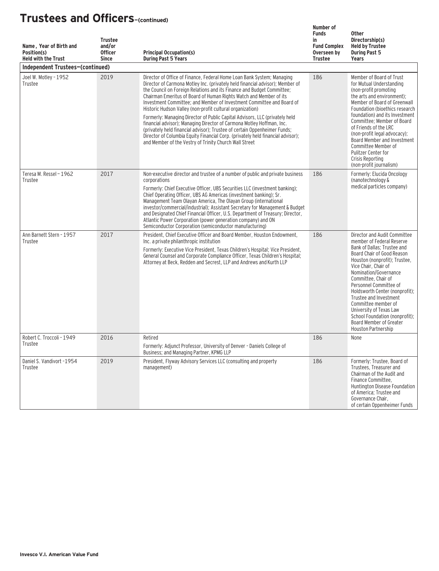| Name, Year of Birth and<br>Position(s)<br><b>Held with the Trust</b> | <b>Trustee</b><br>and/or<br><b>Officer</b><br><b>Since</b> | <b>Principal Occupation(s)</b><br><b>During Past 5 Years</b>                                                                                                                                                                                                                                                                                                                                                                                                                                                                                                                                                                                                                                                                                                                                                                    | Number of<br><b>Funds</b><br>in<br><b>Fund Complex</b><br>Overseen by<br><b>Trustee</b> | <b>Other</b><br>Directorship(s)<br><b>Held by Trustee</b><br><b>During Past 5</b><br>Years                                                                                                                                                                                                                                                                                                                                                                  |
|----------------------------------------------------------------------|------------------------------------------------------------|---------------------------------------------------------------------------------------------------------------------------------------------------------------------------------------------------------------------------------------------------------------------------------------------------------------------------------------------------------------------------------------------------------------------------------------------------------------------------------------------------------------------------------------------------------------------------------------------------------------------------------------------------------------------------------------------------------------------------------------------------------------------------------------------------------------------------------|-----------------------------------------------------------------------------------------|-------------------------------------------------------------------------------------------------------------------------------------------------------------------------------------------------------------------------------------------------------------------------------------------------------------------------------------------------------------------------------------------------------------------------------------------------------------|
| Independent Trustees-(continued)                                     |                                                            |                                                                                                                                                                                                                                                                                                                                                                                                                                                                                                                                                                                                                                                                                                                                                                                                                                 |                                                                                         |                                                                                                                                                                                                                                                                                                                                                                                                                                                             |
| Joel W. Motley - 1952<br>Trustee                                     | 2019                                                       | Director of Office of Finance, Federal Home Loan Bank System; Managing<br>Director of Carmona Motley Inc. (privately held financial advisor); Member of<br>the Council on Foreign Relations and its Finance and Budget Committee;<br>Chairman Emeritus of Board of Human Rights Watch and Member of its<br>Investment Committee; and Member of Investment Committee and Board of<br>Historic Hudson Valley (non-profit cultural organization)<br>Formerly: Managing Director of Public Capital Advisors, LLC (privately held<br>financial advisor); Managing Director of Carmona Motley Hoffman, Inc.<br>(privately held financial advisor); Trustee of certain Oppenheimer Funds;<br>Director of Columbia Equity Financial Corp. (privately held financial advisor);<br>and Member of the Vestry of Trinity Church Wall Street | 186                                                                                     | Member of Board of Trust<br>for Mutual Understanding<br>(non-profit promoting<br>the arts and environment);<br>Member of Board of Greenwall<br>Foundation (bioethics research<br>foundation) and its Investment<br>Committee; Member of Board<br>of Friends of the LRC<br>(non-profit legal advocacy);<br>Board Member and Investment<br>Committee Member of<br>Pulitzer Center for<br>Crisis Reporting<br>(non-profit journalism)                          |
| Teresa M. Ressel - 1962<br>Trustee                                   | 2017                                                       | Non-executive director and trustee of a number of public and private business<br>corporations<br>Formerly: Chief Executive Officer. UBS Securities LLC (investment banking):<br>Chief Operating Officer, UBS AG Americas (investment banking); Sr.<br>Management Team Olayan America, The Olayan Group (international<br>investor/commercial/industrial); Assistant Secretary for Management & Budget<br>and Designated Chief Financial Officer, U.S. Department of Treasury; Director,<br>Atlantic Power Corporation (power generation company) and ON<br>Semiconductor Corporation (semiconductor manufacturing)                                                                                                                                                                                                              | 186                                                                                     | Formerly: Elucida Oncology<br>(nanotechnology &<br>medical particles company)                                                                                                                                                                                                                                                                                                                                                                               |
| Ann Barnett Stern - 1957<br>Trustee                                  | 2017                                                       | President, Chief Executive Officer and Board Member, Houston Endowment.<br>Inc. a private philanthropic institution<br>Formerly: Executive Vice President, Texas Children's Hospital; Vice President,<br>General Counsel and Corporate Compliance Officer, Texas Children's Hospital;<br>Attorney at Beck, Redden and Secrest, LLP and Andrews and Kurth LLP                                                                                                                                                                                                                                                                                                                                                                                                                                                                    | 186                                                                                     | Director and Audit Committee<br>member of Federal Reserve<br>Bank of Dallas; Trustee and<br>Board Chair of Good Reason<br>Houston (nonprofit); Trustee,<br>Vice Chair, Chair of<br>Nomination/Governance<br>Committee, Chair of<br>Personnel Committee of<br>Holdsworth Center (nonprofit);<br>Trustee and Investment<br>Committee member of<br>University of Texas Law<br>School Foundation (nonprofit):<br>Board Member of Greater<br>Houston Partnership |
| Robert C. Troccoli - 1949<br>Trustee                                 | 2016                                                       | Retired<br>Formerly: Adjunct Professor, University of Denver - Daniels College of<br>Business; and Managing Partner, KPMG LLP                                                                                                                                                                                                                                                                                                                                                                                                                                                                                                                                                                                                                                                                                                   | 186                                                                                     | None                                                                                                                                                                                                                                                                                                                                                                                                                                                        |
| Daniel S. Vandivort -1954<br>Trustee                                 | 2019                                                       | President, Flyway Advisory Services LLC (consulting and property<br>management)                                                                                                                                                                                                                                                                                                                                                                                                                                                                                                                                                                                                                                                                                                                                                 | 186                                                                                     | Formerly: Trustee, Board of<br>Trustees, Treasurer and<br>Chairman of the Audit and<br>Finance Committee.<br>Huntington Disease Foundation<br>of America; Trustee and<br>Governance Chair,<br>of certain Oppenheimer Funds                                                                                                                                                                                                                                  |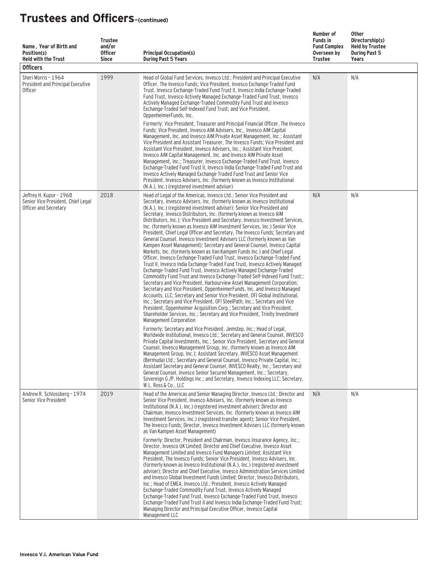| Name, Year of Birth and<br>Position(s)<br><b>Held with the Trust</b><br><b>Officers</b> | <b>Trustee</b><br>and/or<br><b>Officer</b><br><b>Since</b> | <b>Principal Occupation(s)</b><br><b>During Past 5 Years</b>                                                                                                                                                                                                                                                                                                                                                                                                                                                                                                                                                                                                                                                                                                                                                                                                                                                                                                                                                                                                                                                                                                                                                                                                                                                                                                                                                                                                                                                                                                                                                                 | Number of<br><b>Funds in</b><br><b>Fund Complex</b><br>Overseen by<br>Trustee | Other<br>Directorship(s)<br><b>Held by Trustee</b><br><b>During Past 5</b><br>Years |
|-----------------------------------------------------------------------------------------|------------------------------------------------------------|------------------------------------------------------------------------------------------------------------------------------------------------------------------------------------------------------------------------------------------------------------------------------------------------------------------------------------------------------------------------------------------------------------------------------------------------------------------------------------------------------------------------------------------------------------------------------------------------------------------------------------------------------------------------------------------------------------------------------------------------------------------------------------------------------------------------------------------------------------------------------------------------------------------------------------------------------------------------------------------------------------------------------------------------------------------------------------------------------------------------------------------------------------------------------------------------------------------------------------------------------------------------------------------------------------------------------------------------------------------------------------------------------------------------------------------------------------------------------------------------------------------------------------------------------------------------------------------------------------------------------|-------------------------------------------------------------------------------|-------------------------------------------------------------------------------------|
| Sheri Morris - 1964<br>President and Principal Executive<br><b>Officer</b>              | 1999                                                       | Head of Global Fund Services, Invesco Ltd.; President and Principal Executive<br>Officer, The Invesco Funds; Vice President, Invesco Exchange-Traded Fund<br>Trust, Invesco Exchange-Traded Fund Trust II, Invesco India Exchange-Traded<br>Fund Trust, Invesco Actively Managed Exchange-Traded Fund Trust, Invesco<br>Actively Managed Exchange-Traded Commodity Fund Trust and Invesco<br>Exchange-Traded Self-Indexed Fund Trust: and Vice President.<br>OppenheimerFunds, Inc.<br>Formerly: Vice President, Treasurer and Principal Financial Officer, The Invesco<br>Funds; Vice President, Invesco AIM Advisers, Inc., Invesco AIM Capital<br>Management, Inc. and Invesco AIM Private Asset Management, Inc.; Assistant<br>Vice President and Assistant Treasurer, The Invesco Funds; Vice President and<br>Assistant Vice President, Invesco Advisers, Inc.; Assistant Vice President,<br>Invesco AIM Capital Management, Inc. and Invesco AIM Private Asset<br>Management, Inc.; Treasurer, Invesco Exchange-Traded Fund Trust, Invesco<br>Exchange-Traded Fund Trust II, Invesco India Exchange-Traded Fund Trust and<br>Invesco Actively Managed Exchange-Traded Fund Trust and Senior Vice<br>President, Invesco Advisers, Inc. (formerly known as Invesco Institutional<br>(N.A.), Inc.) (registered investment adviser)                                                                                                                                                                                                                                                                                       | N/A                                                                           | N/A                                                                                 |
| Jeffrey H. Kupor - 1968<br>Senior Vice President, Chief Legal<br>Officer and Secretary  | 2018                                                       | Head of Legal of the Americas, Invesco Ltd.; Senior Vice President and<br>Secretary, Invesco Advisers, Inc. (formerly known as Invesco Institutional<br>(N.A.), Inc.) (registered investment adviser); Senior Vice President and<br>Secretary, Invesco Distributors, Inc. (formerly known as Invesco AIM<br>Distributors, Inc.); Vice President and Secretary, Invesco Investment Services,<br>Inc. (formerly known as Invesco AIM Investment Services, Inc.) Senior Vice<br>President, Chief Legal Officer and Secretary, The Invesco Funds; Secretary and<br>General Counsel, Invesco Investment Advisers LLC (formerly known as Van<br>Kampen Asset Management); Secretary and General Counsel, Invesco Capital<br>Markets, Inc. (formerly known as Van Kampen Funds Inc.) and Chief Legal<br>Officer, Invesco Exchange-Traded Fund Trust, Invesco Exchange-Traded Fund<br>Trust II, Invesco India Exchange-Traded Fund Trust, Invesco Actively Managed<br>Exchange-Traded Fund Trust, Invesco Actively Managed Exchange-Traded<br>Commodity Fund Trust and Invesco Exchange-Traded Self-Indexed Fund Trust;;<br>Secretary and Vice President, Harbourview Asset Management Corporation;<br>Secretary and Vice President, OppenheimerFunds, Inc. and Invesco Managed<br>Accounts, LLC; Secretary and Senior Vice President, OFI Global Institutional,<br>Inc.; Secretary and Vice President, OFI SteelPath, Inc.; Secretary and Vice<br>President, Oppenheimer Acquisition Corp.; Secretary and Vice President,<br>Shareholder Services, Inc.; Secretary and Vice President, Trinity Investment<br>Management Corporation | N/A                                                                           | N/A                                                                                 |
|                                                                                         |                                                            | Formerly: Secretary and Vice President, Jemstep, Inc.; Head of Legal,<br>Worldwide Institutional, Invesco Ltd.; Secretary and General Counsel, INVESCO<br>Private Capital Investments, Inc.; Senior Vice President, Secretary and General<br>Counsel, Invesco Management Group, Inc. (formerly known as Invesco AIM<br>Management Group, Inc.); Assistant Secretary, INVESCO Asset Management<br>(Bermuda) Ltd.; Secretary and General Counsel, Invesco Private Capital, Inc.;<br>Assistant Secretary and General Counsel, INVESCO Realty, Inc.; Secretary and<br>General Counsel, Invesco Senior Secured Management, Inc.; Secretary,<br>Sovereign G./P. Holdings Inc.; and Secretary, Invesco Indexing LLC; Secretary,<br>W.L. Ross & Co., LLC                                                                                                                                                                                                                                                                                                                                                                                                                                                                                                                                                                                                                                                                                                                                                                                                                                                                             |                                                                               |                                                                                     |
| Andrew R. Schlossberg - 1974<br>Senior Vice President                                   | 2019                                                       | Head of the Americas and Senior Managing Director, Invesco Ltd.; Director and<br>Senior Vice President, Invesco Advisers, Inc. (formerly known as Invesco<br>Institutional (N.A.), Inc.) (registered investment adviser); Director and<br>Chairman, Invesco Investment Services, Inc. (formerly known as Invesco AIM<br>Investment Services, Inc.) (registered transfer agent); Senior Vice President,<br>The Invesco Funds: Director, Invesco Investment Advisers LLC (formerly known<br>as Van Kampen Asset Management)<br>Formerly: Director, President and Chairman, Invesco Insurance Agency, Inc.:<br>Director, Invesco UK Limited; Director and Chief Executive, Invesco Asset<br>Management Limited and Invesco Fund Managers Limited; Assistant Vice<br>President, The Invesco Funds; Senior Vice President, Invesco Advisers, Inc.<br>(formerly known as Invesco Institutional (N.A.), Inc.) (registered investment<br>adviser); Director and Chief Executive, Invesco Administration Services Limited<br>and Invesco Global Investment Funds Limited; Director, Invesco Distributors,<br>Inc.; Head of EMEA, Invesco Ltd.; President, Invesco Actively Managed<br>Exchange-Traded Commodity Fund Trust, Invesco Actively Managed<br>Exchange-Traded Fund Trust, Invesco Exchange-Traded Fund Trust, Invesco<br>Exchange-Traded Fund Trust II and Invesco India Exchange-Traded Fund Trust;<br>Managing Director and Principal Executive Officer, Invesco Capital                                                                                                                                                  | N/A                                                                           | N/A                                                                                 |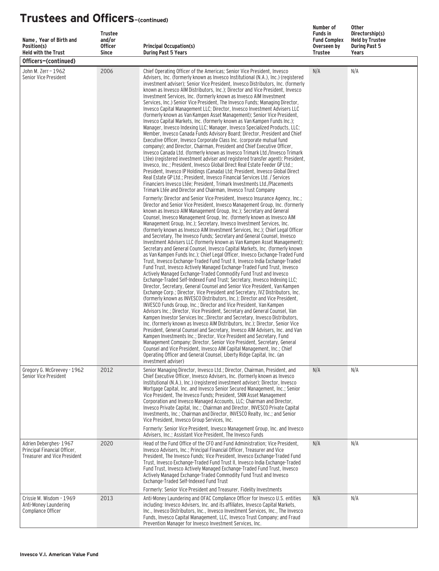| Name, Year of Birth and<br>Position(s)<br><b>Held with the Trust</b>                         | <b>Trustee</b><br>and/or<br><b>Officer</b><br><b>Since</b> | <b>Principal Occupation(s)</b><br><b>During Past 5 Years</b>                                                                                                                                                                                                                                                                                                                                                                                                                                                                                                                                                                                                                                                                                                                                                                                                                                                                                                                                                                                                                                                                                                                                                                                                                                                                                                                                                                                                                                                                                                                                                                                                                                                                                                                                                                                                                                                                                                                                                                                                                                          | Number of<br><b>Funds in</b><br><b>Fund Complex</b><br>Overseen by<br><b>Trustee</b> | <b>Other</b><br>Directorship(s)<br><b>Held by Trustee</b><br><b>During Past 5</b><br>Years |
|----------------------------------------------------------------------------------------------|------------------------------------------------------------|-------------------------------------------------------------------------------------------------------------------------------------------------------------------------------------------------------------------------------------------------------------------------------------------------------------------------------------------------------------------------------------------------------------------------------------------------------------------------------------------------------------------------------------------------------------------------------------------------------------------------------------------------------------------------------------------------------------------------------------------------------------------------------------------------------------------------------------------------------------------------------------------------------------------------------------------------------------------------------------------------------------------------------------------------------------------------------------------------------------------------------------------------------------------------------------------------------------------------------------------------------------------------------------------------------------------------------------------------------------------------------------------------------------------------------------------------------------------------------------------------------------------------------------------------------------------------------------------------------------------------------------------------------------------------------------------------------------------------------------------------------------------------------------------------------------------------------------------------------------------------------------------------------------------------------------------------------------------------------------------------------------------------------------------------------------------------------------------------------|--------------------------------------------------------------------------------------|--------------------------------------------------------------------------------------------|
| Officers-(continued)                                                                         |                                                            |                                                                                                                                                                                                                                                                                                                                                                                                                                                                                                                                                                                                                                                                                                                                                                                                                                                                                                                                                                                                                                                                                                                                                                                                                                                                                                                                                                                                                                                                                                                                                                                                                                                                                                                                                                                                                                                                                                                                                                                                                                                                                                       |                                                                                      |                                                                                            |
| John M. Zerr - 1962<br>Senior Vice President                                                 | 2006                                                       | Chief Operating Officer of the Americas; Senior Vice President, Invesco<br>Advisers, Inc. (formerly known as Invesco Institutional (N.A.), Inc.) (registered<br>investment adviser); Senior Vice President, Invesco Distributors, Inc. (formerly<br>known as Invesco AIM Distributors, Inc.); Director and Vice President, Invesco<br>Investment Services, Inc. (formerly known as Invesco AIM Investment<br>Services, Inc.) Senior Vice President, The Invesco Funds; Managing Director,<br>Invesco Capital Management LLC; Director, Invesco Investment Advisers LLC<br>(formerly known as Van Kampen Asset Management); Senior Vice President,<br>Invesco Capital Markets, Inc. (formerly known as Van Kampen Funds Inc.);<br>Manager, Invesco Indexing LLC; Manager, Invesco Specialized Products, LLC;<br>Member, Invesco Canada Funds Advisory Board; Director, President and Chief<br>Executive Officer, Invesco Corporate Class Inc. (corporate mutual fund<br>company); and Director, Chairman, President and Chief Executive Officer,<br>Invesco Canada Ltd. (formerly known as Invesco Trimark Ltd./Invesco Trimark<br>Ltèe) (registered investment adviser and registered transfer agent); President,<br>Invesco, Inc.; President, Invesco Global Direct Real Estate Feeder GP Ltd.;<br>President, Invesco IP Holdings (Canada) Ltd: President, Invesco Global Direct<br>Real Estate GP Ltd.; President, Invesco Financial Services Ltd. / Services<br>Financiers Invesco Ltée: President, Trimark Investments Ltd./Placements<br>Trimark Ltée and Director and Chairman, Invesco Trust Company                                                                                                                                                                                                                                                                                                                                                                                                                                                                                           | N/A                                                                                  | N/A                                                                                        |
|                                                                                              |                                                            | Formerly: Director and Senior Vice President, Invesco Insurance Agency, Inc.;<br>Director and Senior Vice President, Invesco Management Group, Inc. (formerly<br>known as Invesco AIM Management Group, Inc.); Secretary and General<br>Counsel, Invesco Management Group, Inc. (formerly known as Invesco AIM<br>Management Group, Inc.); Secretary, Invesco Investment Services, Inc.<br>(formerly known as Invesco AIM Investment Services, Inc.); Chief Legal Officer<br>and Secretary, The Invesco Funds; Secretary and General Counsel, Invesco<br>Investment Advisers LLC (formerly known as Van Kampen Asset Management);<br>Secretary and General Counsel, Invesco Capital Markets, Inc. (formerly known<br>as Van Kampen Funds Inc.); Chief Legal Officer, Invesco Exchange-Traded Fund<br>Trust, Invesco Exchange-Traded Fund Trust II, Invesco India Exchange-Traded<br>Fund Trust, Invesco Actively Managed Exchange-Traded Fund Trust, Invesco<br>Actively Managed Exchange-Traded Commodity Fund Trust and Invesco<br>Exchange-Traded Self-Indexed Fund Trust; Secretary, Invesco Indexing LLC;<br>Director, Secretary, General Counsel and Senior Vice President, Van Kampen<br>Exchange Corp.; Director, Vice President and Secretary, IVZ Distributors, Inc.<br>(formerly known as INVESCO Distributors, Inc.); Director and Vice President,<br>INVESCO Funds Group, Inc.; Director and Vice President, Van Kampen<br>Advisors Inc.; Director, Vice President, Secretary and General Counsel, Van<br>Kampen Investor Services Inc.: Director and Secretary, Invesco Distributors.<br>Inc. (formerly known as Invesco AIM Distributors, Inc.); Director, Senior Vice<br>President, General Counsel and Secretary, Invesco AIM Advisers, Inc. and Van<br>Kampen Investments Inc.; Director, Vice President and Secretary, Fund<br>Management Company; Director, Senior Vice President, Secretary, General<br>Counsel and Vice President, Invesco AIM Capital Management, Inc.; Chief<br>Operating Officer and General Counsel, Liberty Ridge Capital, Inc. (an<br>investment adviser) |                                                                                      |                                                                                            |
| Gregory G. McGreevey - 1962<br>Senior Vice President                                         | 2012                                                       | Senior Managing Director, Invesco Ltd.; Director, Chairman, President, and<br>Chief Executive Officer, Invesco Advisers, Inc. (formerly known as Invesco<br>Institutional (N.A.), Inc.) (registered investment adviser); Director, Invesco<br>Mortgage Capital, Inc. and Invesco Senior Secured Management, Inc.; Senior<br>Vice President, The Invesco Funds; President, SNW Asset Management<br>Corporation and Invesco Managed Accounts, LLC; Chairman and Director,<br>Invesco Private Capital, Inc.; Chairman and Director, INVESCO Private Capital<br>Investments, Inc.; Chairman and Director, INVESCO Realty, Inc.; and Senior<br>Vice President, Invesco Group Services, Inc.<br>Formerly: Senior Vice President, Invesco Management Group, Inc. and Invesco                                                                                                                                                                                                                                                                                                                                                                                                                                                                                                                                                                                                                                                                                                                                                                                                                                                                                                                                                                                                                                                                                                                                                                                                                                                                                                                                 | N/A                                                                                  | N/A                                                                                        |
| Adrien Deberghes-1967<br>Principal Financial Officer,<br><b>Treasurer and Vice President</b> | 2020                                                       | Advisers, Inc.; Assistant Vice President, The Invesco Funds<br>Head of the Fund Office of the CFO and Fund Administration; Vice President,<br>Invesco Advisers, Inc.; Principal Financial Officer, Treasurer and Vice<br>President, The Invesco Funds; Vice President, Invesco Exchange-Traded Fund<br>Trust, Invesco Exchange-Traded Fund Trust II, Invesco India Exchange-Traded<br>Fund Trust, Invesco Actively Managed Exchange-Traded Fund Trust, Invesco<br>Actively Managed Exchange-Traded Commodity Fund Trust and Invesco<br>Exchange-Traded Self-Indexed Fund Trust<br>Formerly: Senior Vice President and Treasurer, Fidelity Investments                                                                                                                                                                                                                                                                                                                                                                                                                                                                                                                                                                                                                                                                                                                                                                                                                                                                                                                                                                                                                                                                                                                                                                                                                                                                                                                                                                                                                                                 | N/A                                                                                  | N/A                                                                                        |
| Crissie M. Wisdom - 1969<br>Anti-Money Laundering<br>Compliance Officer                      | 2013                                                       | Anti-Money Laundering and OFAC Compliance Officer for Invesco U.S. entities<br>including: Invesco Advisers, Inc. and its affiliates, Invesco Capital Markets,<br>Inc., Invesco Distributors, Inc., Invesco Investment Services, Inc., The Invesco<br>Funds, Invesco Capital Management, LLC, Invesco Trust Company; and Fraud<br>Prevention Manager for Invesco Investment Services, Inc.                                                                                                                                                                                                                                                                                                                                                                                                                                                                                                                                                                                                                                                                                                                                                                                                                                                                                                                                                                                                                                                                                                                                                                                                                                                                                                                                                                                                                                                                                                                                                                                                                                                                                                             | N/A                                                                                  | N/A                                                                                        |